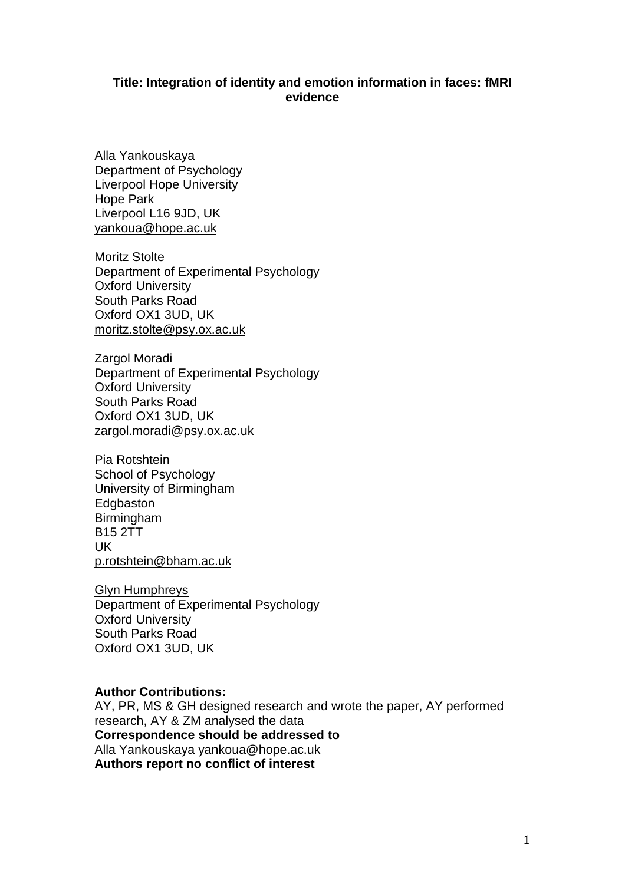# **Title: Integration of identity and emotion information in faces: fMRI evidence**

Alla Yankouskaya Department of Psychology Liverpool Hope University Hope Park Liverpool L16 9JD, UK [yankoua@hope.ac.uk](mailto:alla.yankouskaya@psy.ox.ac.uk)

Moritz Stolte Department of Experimental Psychology Oxford University South Parks Road Oxford OX1 3UD, UK [moritz.stolte@psy.ox.ac.uk](mailto:moritz.stolte@psy.ox.ac.uk)

Zargol Moradi Department of Experimental Psychology Oxford University South Parks Road Oxford OX1 3UD, UK zargol.moradi@psy.ox.ac.uk

Pia Rotshtein School of Psychology University of Birmingham Edgbaston Birmingham B15 2TT UK [p.rotshtein@bham.ac.uk](mailto:p.rotshtein@bham.ac.uk)

Glyn Humphreys Department of Experimental Psychology Oxford University South Parks Road Oxford OX1 3UD, UK

# **Author Contributions:**

AY, PR, MS & GH designed research and wrote the paper, AY performed research, AY & ZM analysed the data **Correspondence should be addressed to**  Alla Yankouskaya [yankoua@hope.ac.uk](mailto:alla.yankouskaya@psy.ox.ac.uk) **Authors report no conflict of interest**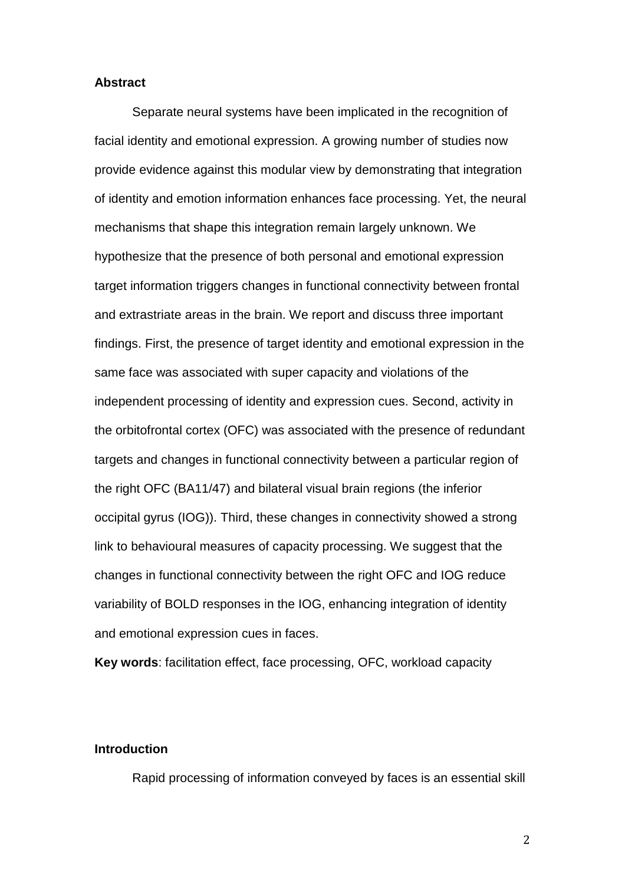#### **Abstract**

Separate neural systems have been implicated in the recognition of facial identity and emotional expression. A growing number of studies now provide evidence against this modular view by demonstrating that integration of identity and emotion information enhances face processing. Yet, the neural mechanisms that shape this integration remain largely unknown. We hypothesize that the presence of both personal and emotional expression target information triggers changes in functional connectivity between frontal and extrastriate areas in the brain. We report and discuss three important findings. First, the presence of target identity and emotional expression in the same face was associated with super capacity and violations of the independent processing of identity and expression cues. Second, activity in the orbitofrontal cortex (OFC) was associated with the presence of redundant targets and changes in functional connectivity between a particular region of the right OFC (BA11/47) and bilateral visual brain regions (the inferior occipital gyrus (IOG)). Third, these changes in connectivity showed a strong link to behavioural measures of capacity processing. We suggest that the changes in functional connectivity between the right OFC and IOG reduce variability of BOLD responses in the IOG, enhancing integration of identity and emotional expression cues in faces.

**Key words**: facilitation effect, face processing, OFC, workload capacity

# **Introduction**

Rapid processing of information conveyed by faces is an essential skill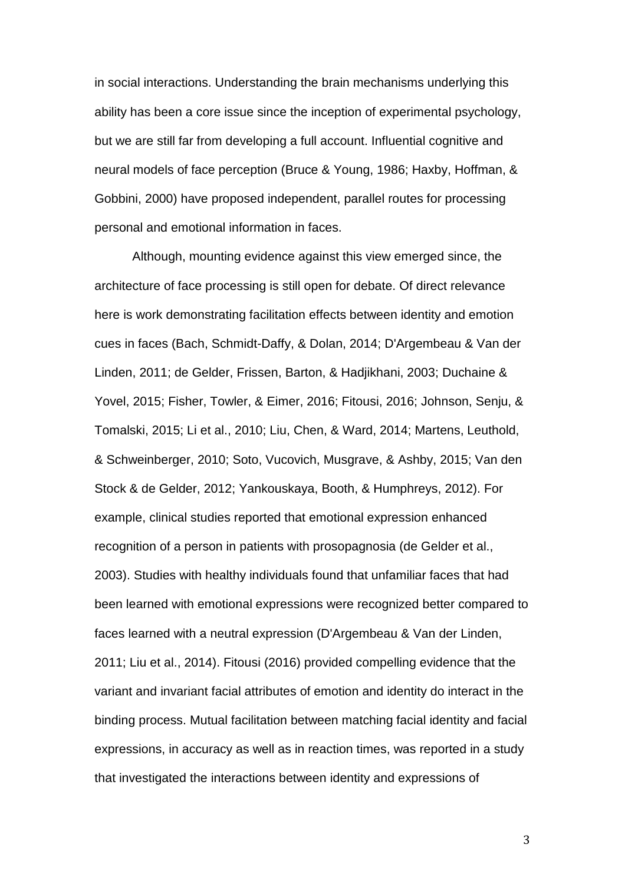in social interactions. Understanding the brain mechanisms underlying this ability has been a core issue since the inception of experimental psychology, but we are still far from developing a full account. Influential cognitive and neural models of face perception (Bruce & Young, 1986; Haxby, Hoffman, & Gobbini, 2000) have proposed independent, parallel routes for processing personal and emotional information in faces.

Although, mounting evidence against this view emerged since, the architecture of face processing is still open for debate. Of direct relevance here is work demonstrating facilitation effects between identity and emotion cues in faces (Bach, Schmidt-Daffy, & Dolan, 2014; D'Argembeau & Van der Linden, 2011; de Gelder, Frissen, Barton, & Hadjikhani, 2003; Duchaine & Yovel, 2015; Fisher, Towler, & Eimer, 2016; Fitousi, 2016; Johnson, Senju, & Tomalski, 2015; Li et al., 2010; Liu, Chen, & Ward, 2014; Martens, Leuthold, & Schweinberger, 2010; Soto, Vucovich, Musgrave, & Ashby, 2015; Van den Stock & de Gelder, 2012; Yankouskaya, Booth, & Humphreys, 2012). For example, clinical studies reported that emotional expression enhanced recognition of a person in patients with prosopagnosia (de Gelder et al., 2003). Studies with healthy individuals found that unfamiliar faces that had been learned with emotional expressions were recognized better compared to faces learned with a neutral expression (D'Argembeau & Van der Linden, 2011; Liu et al., 2014). Fitousi (2016) provided compelling evidence that the variant and invariant facial attributes of emotion and identity do interact in the binding process. Mutual facilitation between matching facial identity and facial expressions, in accuracy as well as in reaction times, was reported in a study that investigated the interactions between identity and expressions of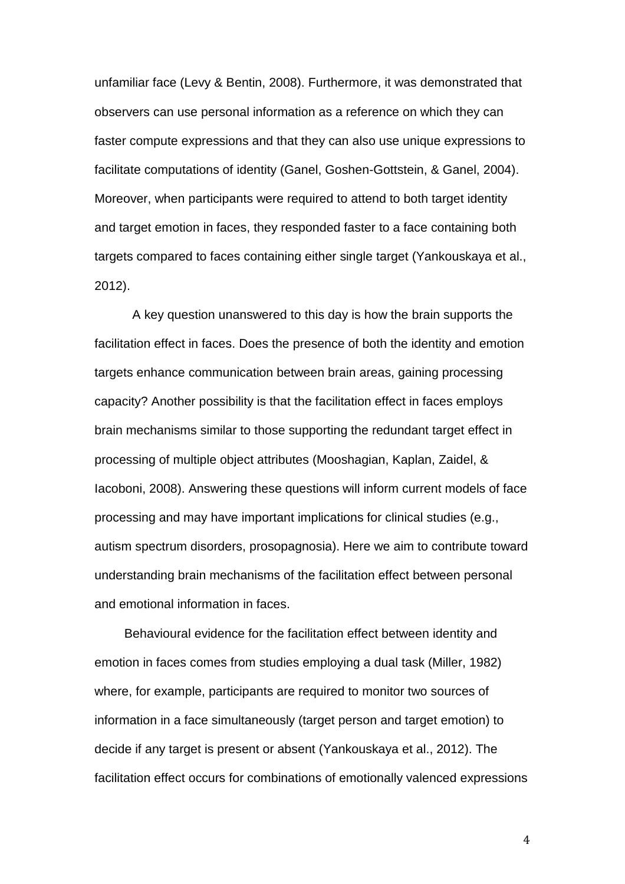unfamiliar face (Levy & Bentin, 2008). Furthermore, it was demonstrated that observers can use personal information as a reference on which they can faster compute expressions and that they can also use unique expressions to facilitate computations of identity (Ganel, Goshen-Gottstein, & Ganel, 2004). Moreover, when participants were required to attend to both target identity and target emotion in faces, they responded faster to a face containing both targets compared to faces containing either single target (Yankouskaya et al., 2012).

A key question unanswered to this day is how the brain supports the facilitation effect in faces. Does the presence of both the identity and emotion targets enhance communication between brain areas, gaining processing capacity? Another possibility is that the facilitation effect in faces employs brain mechanisms similar to those supporting the redundant target effect in processing of multiple object attributes (Mooshagian, Kaplan, Zaidel, & Iacoboni, 2008). Answering these questions will inform current models of face processing and may have important implications for clinical studies (e.g., autism spectrum disorders, prosopagnosia). Here we aim to contribute toward understanding brain mechanisms of the facilitation effect between personal and emotional information in faces.

Behavioural evidence for the facilitation effect between identity and emotion in faces comes from studies employing a dual task (Miller, 1982) where, for example, participants are required to monitor two sources of information in a face simultaneously (target person and target emotion) to decide if any target is present or absent (Yankouskaya et al., 2012). The facilitation effect occurs for combinations of emotionally valenced expressions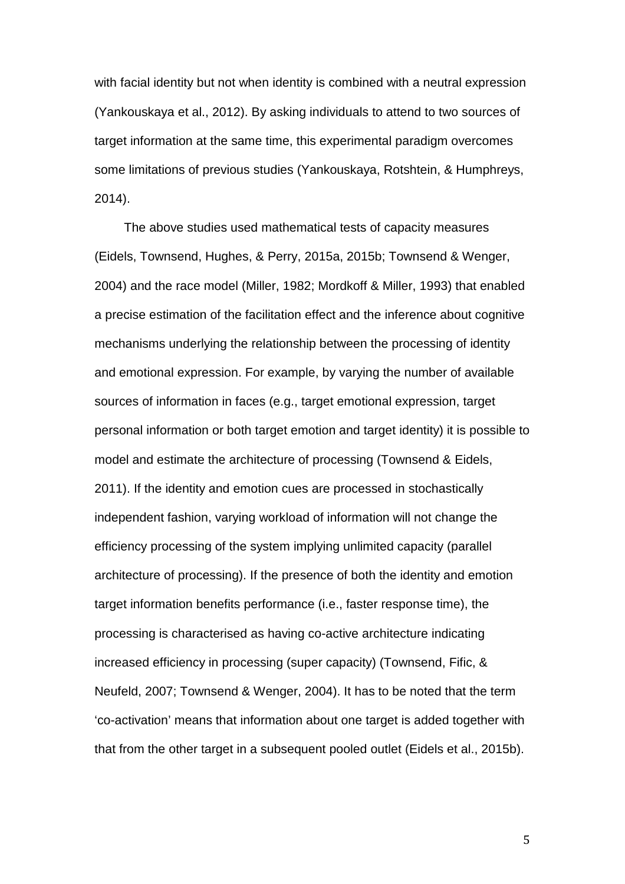with facial identity but not when identity is combined with a neutral expression (Yankouskaya et al., 2012). By asking individuals to attend to two sources of target information at the same time, this experimental paradigm overcomes some limitations of previous studies (Yankouskaya, Rotshtein, & Humphreys, 2014).

The above studies used mathematical tests of capacity measures (Eidels, Townsend, Hughes, & Perry, 2015a, 2015b; Townsend & Wenger, 2004) and the race model (Miller, 1982; Mordkoff & Miller, 1993) that enabled a precise estimation of the facilitation effect and the inference about cognitive mechanisms underlying the relationship between the processing of identity and emotional expression. For example, by varying the number of available sources of information in faces (e.g., target emotional expression, target personal information or both target emotion and target identity) it is possible to model and estimate the architecture of processing (Townsend & Eidels, 2011). If the identity and emotion cues are processed in stochastically independent fashion, varying workload of information will not change the efficiency processing of the system implying unlimited capacity (parallel architecture of processing). If the presence of both the identity and emotion target information benefits performance (i.e., faster response time), the processing is characterised as having co-active architecture indicating increased efficiency in processing (super capacity) (Townsend, Fific, & Neufeld, 2007; Townsend & Wenger, 2004). It has to be noted that the term 'co-activation' means that information about one target is added together with that from the other target in a subsequent pooled outlet (Eidels et al., 2015b).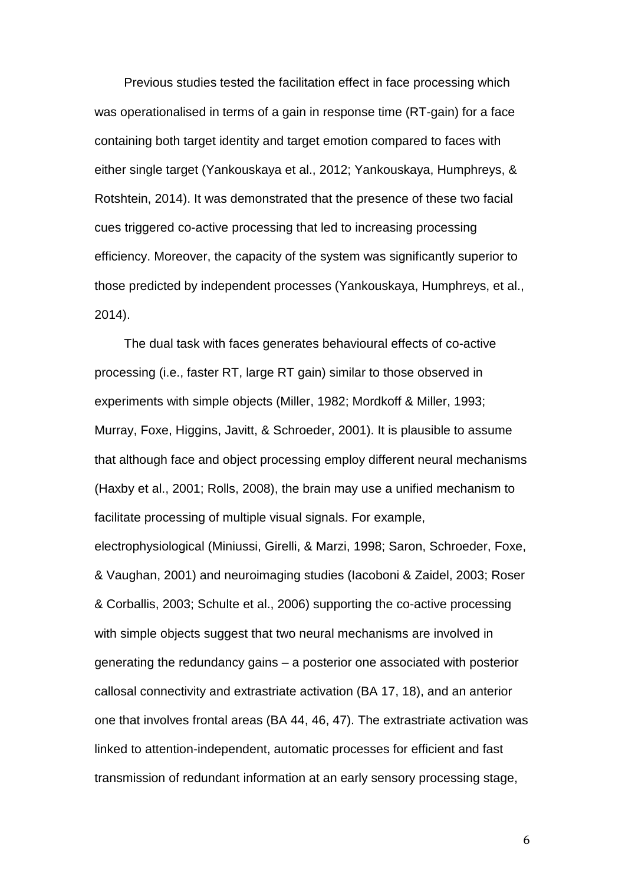Previous studies tested the facilitation effect in face processing which was operationalised in terms of a gain in response time (RT-gain) for a face containing both target identity and target emotion compared to faces with either single target (Yankouskaya et al., 2012; Yankouskaya, Humphreys, & Rotshtein, 2014). It was demonstrated that the presence of these two facial cues triggered co-active processing that led to increasing processing efficiency. Moreover, the capacity of the system was significantly superior to those predicted by independent processes (Yankouskaya, Humphreys, et al., 2014).

The dual task with faces generates behavioural effects of co-active processing (i.e., faster RT, large RT gain) similar to those observed in experiments with simple objects (Miller, 1982; Mordkoff & Miller, 1993; Murray, Foxe, Higgins, Javitt, & Schroeder, 2001). It is plausible to assume that although face and object processing employ different neural mechanisms (Haxby et al., 2001; Rolls, 2008), the brain may use a unified mechanism to facilitate processing of multiple visual signals. For example, electrophysiological (Miniussi, Girelli, & Marzi, 1998; Saron, Schroeder, Foxe, & Vaughan, 2001) and neuroimaging studies (Iacoboni & Zaidel, 2003; Roser & Corballis, 2003; Schulte et al., 2006) supporting the co-active processing with simple objects suggest that two neural mechanisms are involved in generating the redundancy gains – a posterior one associated with posterior callosal connectivity and extrastriate activation (BA 17, 18), and an anterior one that involves frontal areas (BA 44, 46, 47). The extrastriate activation was linked to attention-independent, automatic processes for efficient and fast transmission of redundant information at an early sensory processing stage,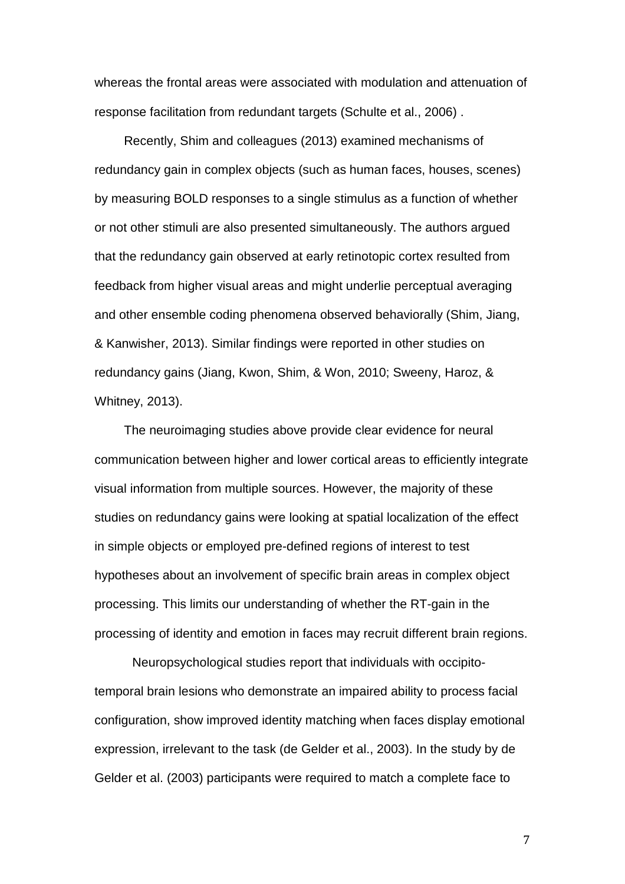whereas the frontal areas were associated with modulation and attenuation of response facilitation from redundant targets (Schulte et al., 2006) .

Recently, Shim and colleagues (2013) examined mechanisms of redundancy gain in complex objects (such as human faces, houses, scenes) by measuring BOLD responses to a single stimulus as a function of whether or not other stimuli are also presented simultaneously. The authors argued that the redundancy gain observed at early retinotopic cortex resulted from feedback from higher visual areas and might underlie perceptual averaging and other ensemble coding phenomena observed behaviorally (Shim, Jiang, & Kanwisher, 2013). Similar findings were reported in other studies on redundancy gains (Jiang, Kwon, Shim, & Won, 2010; Sweeny, Haroz, & Whitney, 2013).

The neuroimaging studies above provide clear evidence for neural communication between higher and lower cortical areas to efficiently integrate visual information from multiple sources. However, the majority of these studies on redundancy gains were looking at spatial localization of the effect in simple objects or employed pre-defined regions of interest to test hypotheses about an involvement of specific brain areas in complex object processing. This limits our understanding of whether the RT-gain in the processing of identity and emotion in faces may recruit different brain regions.

Neuropsychological studies report that individuals with occipitotemporal brain lesions who demonstrate an impaired ability to process facial configuration, show improved identity matching when faces display emotional expression, irrelevant to the task (de Gelder et al., 2003). In the study by de Gelder et al. (2003) participants were required to match a complete face to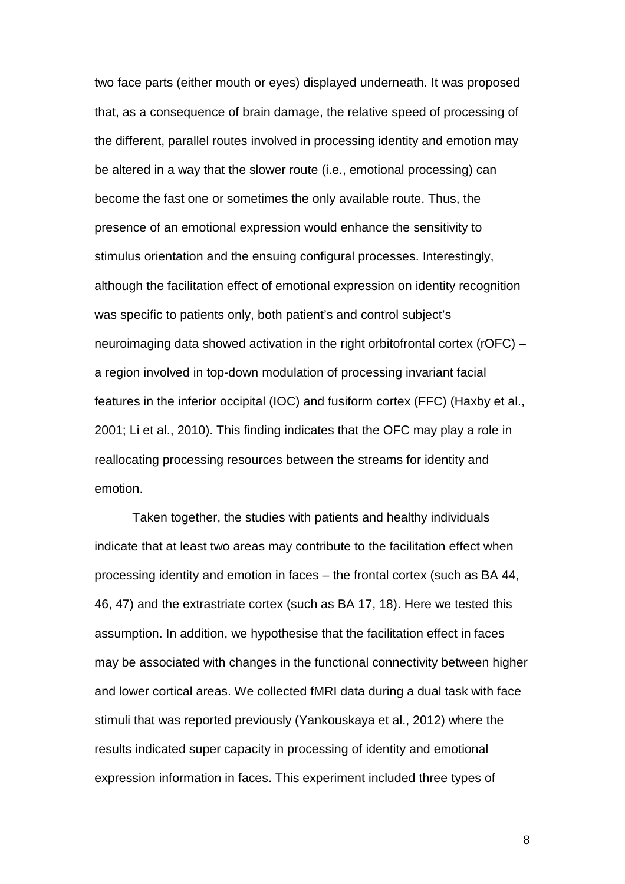two face parts (either mouth or eyes) displayed underneath. It was proposed that, as a consequence of brain damage, the relative speed of processing of the different, parallel routes involved in processing identity and emotion may be altered in a way that the slower route (i.e., emotional processing) can become the fast one or sometimes the only available route. Thus, the presence of an emotional expression would enhance the sensitivity to stimulus orientation and the ensuing configural processes. Interestingly, although the facilitation effect of emotional expression on identity recognition was specific to patients only, both patient's and control subject's neuroimaging data showed activation in the right orbitofrontal cortex (rOFC) – a region involved in top-down modulation of processing invariant facial features in the inferior occipital (IOC) and fusiform cortex (FFC) (Haxby et al., 2001; Li et al., 2010). This finding indicates that the OFC may play a role in reallocating processing resources between the streams for identity and emotion.

Taken together, the studies with patients and healthy individuals indicate that at least two areas may contribute to the facilitation effect when processing identity and emotion in faces – the frontal cortex (such as BA 44, 46, 47) and the extrastriate cortex (such as BA 17, 18). Here we tested this assumption. In addition, we hypothesise that the facilitation effect in faces may be associated with changes in the functional connectivity between higher and lower cortical areas. We collected fMRI data during a dual task with face stimuli that was reported previously (Yankouskaya et al., 2012) where the results indicated super capacity in processing of identity and emotional expression information in faces. This experiment included three types of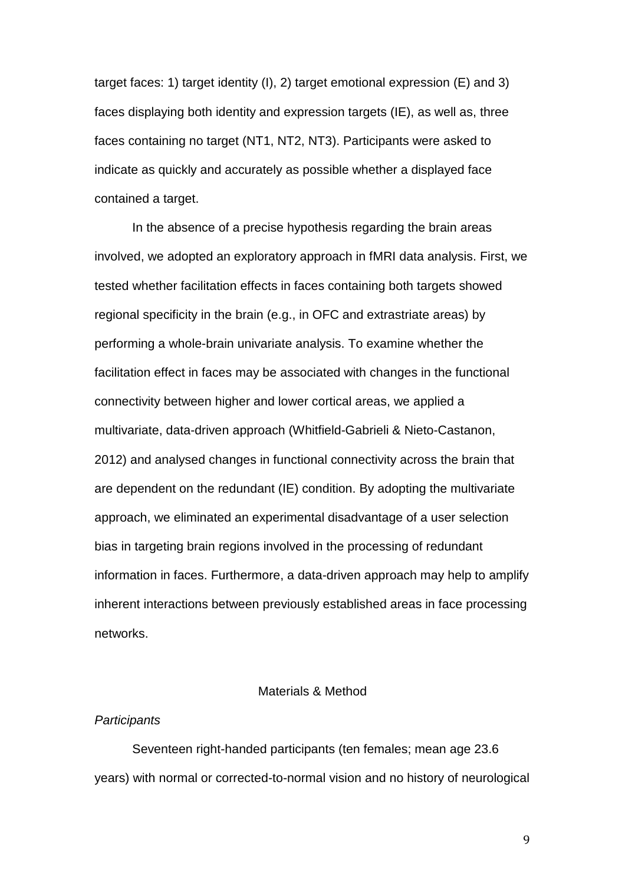target faces: 1) target identity (I), 2) target emotional expression (E) and 3) faces displaying both identity and expression targets (IE), as well as, three faces containing no target (NT1, NT2, NT3). Participants were asked to indicate as quickly and accurately as possible whether a displayed face contained a target.

In the absence of a precise hypothesis regarding the brain areas involved, we adopted an exploratory approach in fMRI data analysis. First, we tested whether facilitation effects in faces containing both targets showed regional specificity in the brain (e.g., in OFC and extrastriate areas) by performing a whole-brain univariate analysis. To examine whether the facilitation effect in faces may be associated with changes in the functional connectivity between higher and lower cortical areas, we applied a multivariate, data-driven approach (Whitfield-Gabrieli & Nieto-Castanon, 2012) and analysed changes in functional connectivity across the brain that are dependent on the redundant (IE) condition. By adopting the multivariate approach, we eliminated an experimental disadvantage of a user selection bias in targeting brain regions involved in the processing of redundant information in faces. Furthermore, a data-driven approach may help to amplify inherent interactions between previously established areas in face processing networks.

# Materials & Method

## *Participants*

Seventeen right-handed participants (ten females; mean age 23.6 years) with normal or corrected-to-normal vision and no history of neurological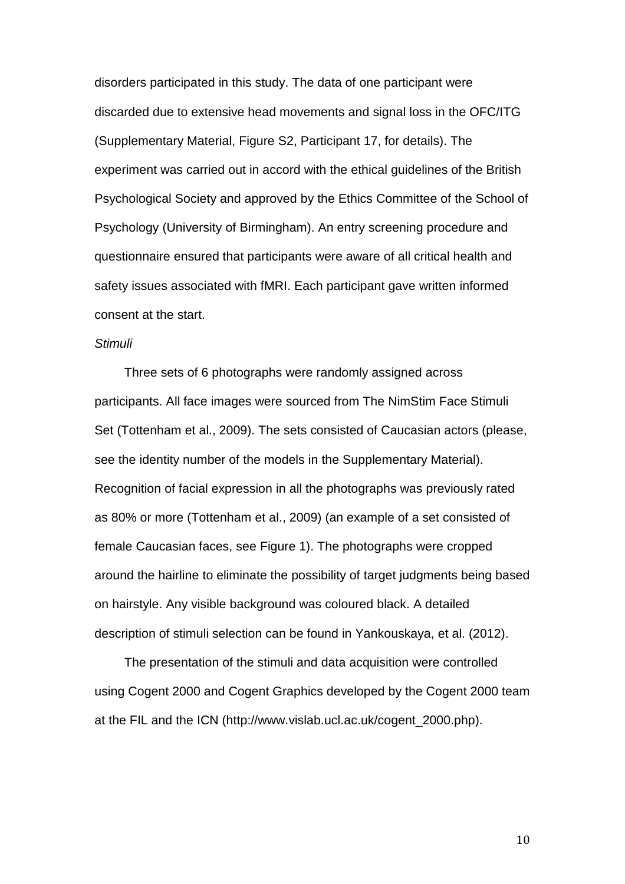disorders participated in this study. The data of one participant were discarded due to extensive head movements and signal loss in the OFC/ITG (Supplementary Material, Figure S2, Participant 17, for details). The experiment was carried out in accord with the ethical guidelines of the British Psychological Society and approved by the Ethics Committee of the School of Psychology (University of Birmingham). An entry screening procedure and questionnaire ensured that participants were aware of all critical health and safety issues associated with fMRI. Each participant gave written informed consent at the start.

#### *Stimuli*

Three sets of 6 photographs were randomly assigned across participants. All face images were sourced from The NimStim Face Stimuli Set (Tottenham et al., 2009). The sets consisted of Caucasian actors (please, see the identity number of the models in the Supplementary Material). Recognition of facial expression in all the photographs was previously rated as 80% or more (Tottenham et al., 2009) (an example of a set consisted of female Caucasian faces, see Figure 1). The photographs were cropped around the hairline to eliminate the possibility of target judgments being based on hairstyle. Any visible background was coloured black. A detailed description of stimuli selection can be found in Yankouskaya, et al. (2012).

The presentation of the stimuli and data acquisition were controlled using Cogent 2000 and Cogent Graphics developed by the Cogent 2000 team at the FIL and the ICN (http://www.vislab.ucl.ac.uk/cogent\_2000.php).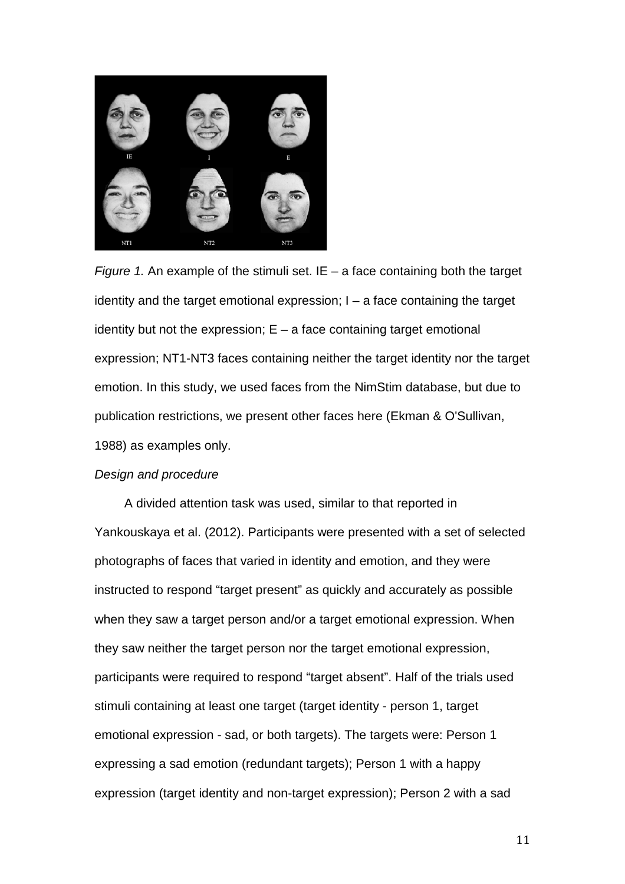

*Figure 1.* An example of the stimuli set. IE – a face containing both the target identity and the target emotional expression; I – a face containing the target identity but not the expression;  $E - a$  face containing target emotional expression; NT1-NT3 faces containing neither the target identity nor the target emotion. In this study, we used faces from the NimStim database, but due to publication restrictions, we present other faces here (Ekman & O'Sullivan, 1988) as examples only.

# *Design and procedure*

A divided attention task was used, similar to that reported in Yankouskaya et al. (2012). Participants were presented with a set of selected photographs of faces that varied in identity and emotion, and they were instructed to respond "target present" as quickly and accurately as possible when they saw a target person and/or a target emotional expression. When they saw neither the target person nor the target emotional expression, participants were required to respond "target absent". Half of the trials used stimuli containing at least one target (target identity - person 1, target emotional expression - sad, or both targets). The targets were: Person 1 expressing a sad emotion (redundant targets); Person 1 with a happy expression (target identity and non-target expression); Person 2 with a sad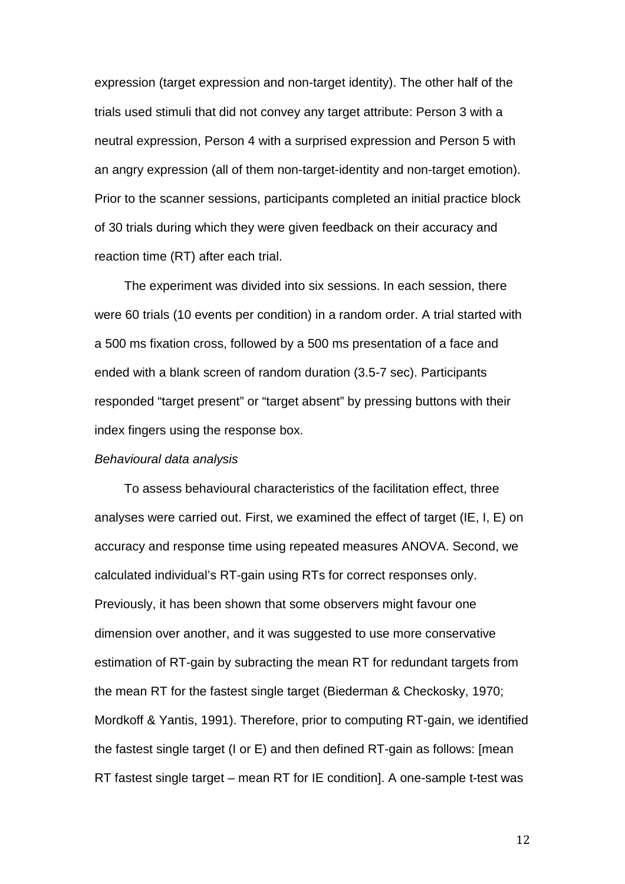expression (target expression and non-target identity). The other half of the trials used stimuli that did not convey any target attribute: Person 3 with a neutral expression, Person 4 with a surprised expression and Person 5 with an angry expression (all of them non-target-identity and non-target emotion). Prior to the scanner sessions, participants completed an initial practice block of 30 trials during which they were given feedback on their accuracy and reaction time (RT) after each trial.

The experiment was divided into six sessions. In each session, there were 60 trials (10 events per condition) in a random order. A trial started with a 500 ms fixation cross, followed by a 500 ms presentation of a face and ended with a blank screen of random duration (3.5-7 sec). Participants responded "target present" or "target absent" by pressing buttons with their index fingers using the response box.

#### *Behavioural data analysis*

To assess behavioural characteristics of the facilitation effect, three analyses were carried out. First, we examined the effect of target (IE, I, E) on accuracy and response time using repeated measures ANOVA. Second, we calculated individual's RT-gain using RTs for correct responses only. Previously, it has been shown that some observers might favour one dimension over another, and it was suggested to use more conservative estimation of RT-gain by subracting the mean RT for redundant targets from the mean RT for the fastest single target (Biederman & Checkosky, 1970; Mordkoff & Yantis, 1991). Therefore, prior to computing RT-gain, we identified the fastest single target (I or E) and then defined RT-gain as follows: [mean RT fastest single target – mean RT for IE condition]. A one-sample t-test was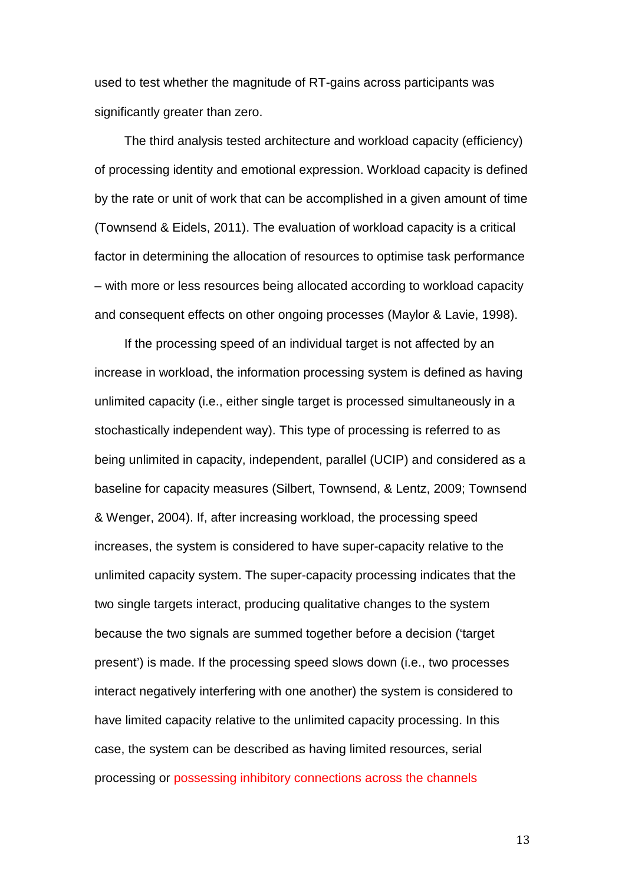used to test whether the magnitude of RT-gains across participants was significantly greater than zero.

The third analysis tested architecture and workload capacity (efficiency) of processing identity and emotional expression. Workload capacity is defined by the rate or unit of work that can be accomplished in a given amount of time (Townsend & Eidels, 2011). The evaluation of workload capacity is a critical factor in determining the allocation of resources to optimise task performance – with more or less resources being allocated according to workload capacity and consequent effects on other ongoing processes (Maylor & Lavie, 1998).

If the processing speed of an individual target is not affected by an increase in workload, the information processing system is defined as having unlimited capacity (i.e., either single target is processed simultaneously in a stochastically independent way). This type of processing is referred to as being unlimited in capacity, independent, parallel (UCIP) and considered as a baseline for capacity measures (Silbert, Townsend, & Lentz, 2009; Townsend & Wenger, 2004). If, after increasing workload, the processing speed increases, the system is considered to have super-capacity relative to the unlimited capacity system. The super-capacity processing indicates that the two single targets interact, producing qualitative changes to the system because the two signals are summed together before a decision ('target present') is made. If the processing speed slows down (i.e., two processes interact negatively interfering with one another) the system is considered to have limited capacity relative to the unlimited capacity processing. In this case, the system can be described as having limited resources, serial processing or possessing inhibitory connections across the channels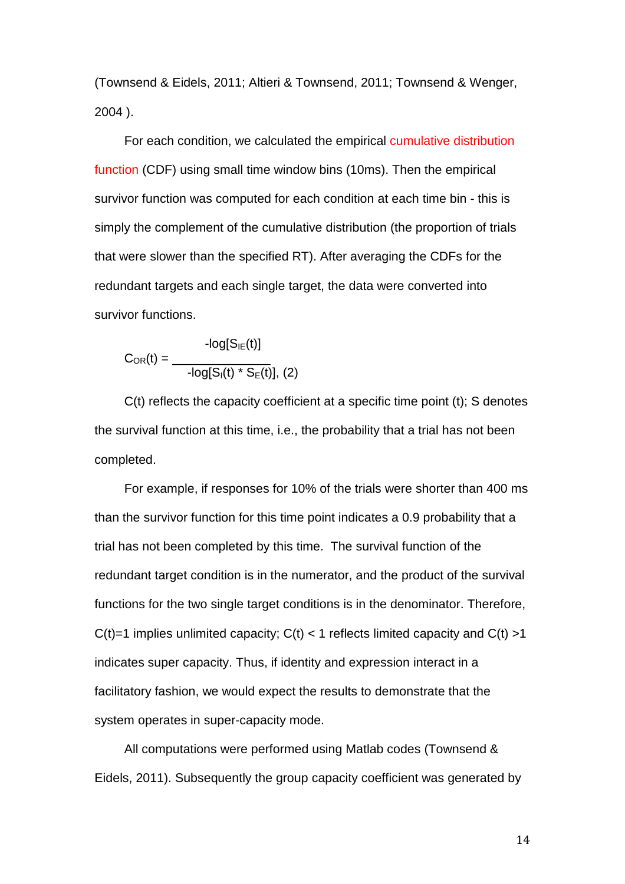(Townsend & Eidels, 2011; Altieri & Townsend, 2011; Townsend & Wenger, 2004 ).

For each condition, we calculated the empirical cumulative distribution function (CDF) using small time window bins (10ms). Then the empirical survivor function was computed for each condition at each time bin - this is simply the complement of the cumulative distribution (the proportion of trials that were slower than the specified RT). After averaging the CDFs for the redundant targets and each single target, the data were converted into survivor functions.

$$
C_{OR}(t) = \frac{-log[S_{IE}(t)]}{-log[S_{I}(t) * S_{E}(t)], (2)}
$$

C(t) reflects the capacity coefficient at a specific time point (t); S denotes the survival function at this time, i.e., the probability that a trial has not been completed.

For example, if responses for 10% of the trials were shorter than 400 ms than the survivor function for this time point indicates a 0.9 probability that a trial has not been completed by this time. The survival function of the redundant target condition is in the numerator, and the product of the survival functions for the two single target conditions is in the denominator. Therefore,  $C(t)=1$  implies unlimited capacity;  $C(t) < 1$  reflects limited capacity and  $C(t) > 1$ indicates super capacity. Thus, if identity and expression interact in a facilitatory fashion, we would expect the results to demonstrate that the system operates in super-capacity mode.

All computations were performed using Matlab codes (Townsend & Eidels, 2011). Subsequently the group capacity coefficient was generated by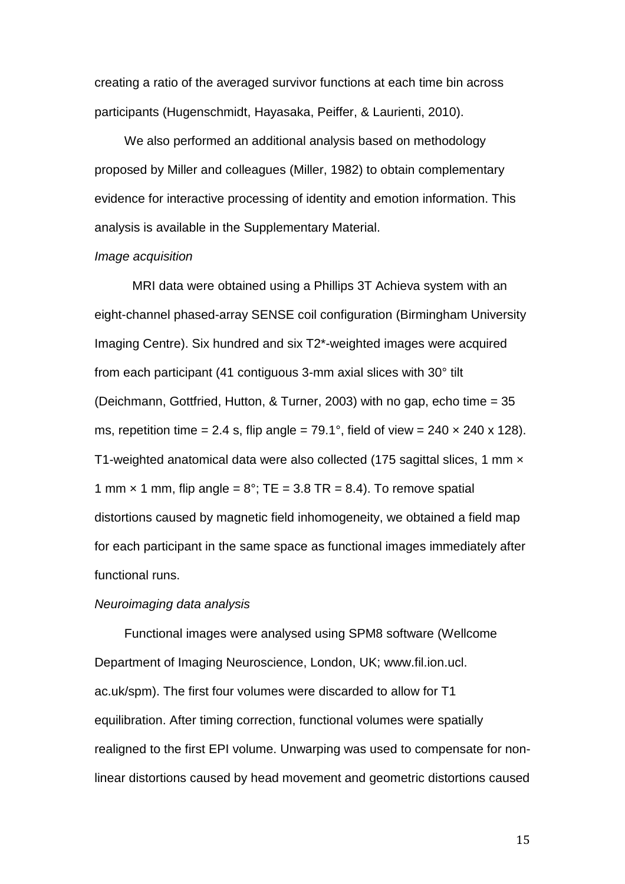creating a ratio of the averaged survivor functions at each time bin across participants (Hugenschmidt, Hayasaka, Peiffer, & Laurienti, 2010).

We also performed an additional analysis based on methodology proposed by Miller and colleagues (Miller, 1982) to obtain complementary evidence for interactive processing of identity and emotion information. This analysis is available in the Supplementary Material.

#### *Image acquisition*

MRI data were obtained using a Phillips 3T Achieva system with an eight-channel phased-array SENSE coil configuration (Birmingham University Imaging Centre). Six hundred and six T2\*-weighted images were acquired from each participant (41 contiguous 3-mm axial slices with 30° tilt (Deichmann, Gottfried, Hutton, & Turner, 2003) with no gap, echo time = 35 ms, repetition time = 2.4 s, flip angle =  $79.1^{\circ}$ , field of view =  $240 \times 240 \times 128$ ). T1-weighted anatomical data were also collected (175 sagittal slices, 1 mm x 1 mm  $\times$  1 mm, flip angle =  $8^\circ$ ; TE = 3.8 TR = 8.4). To remove spatial distortions caused by magnetic field inhomogeneity, we obtained a field map for each participant in the same space as functional images immediately after functional runs.

## *Neuroimaging data analysis*

Functional images were analysed using SPM8 software (Wellcome Department of Imaging Neuroscience, London, UK; www.fil.ion.ucl. ac.uk/spm). The first four volumes were discarded to allow for T1 equilibration. After timing correction, functional volumes were spatially realigned to the first EPI volume. Unwarping was used to compensate for nonlinear distortions caused by head movement and geometric distortions caused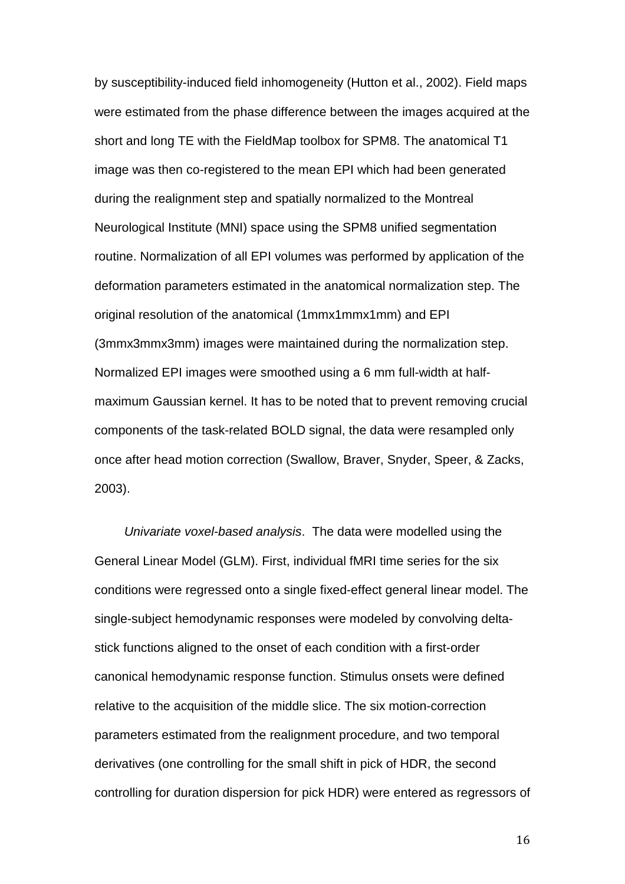by susceptibility-induced field inhomogeneity (Hutton et al., 2002). Field maps were estimated from the phase difference between the images acquired at the short and long TE with the FieldMap toolbox for SPM8. The anatomical T1 image was then co-registered to the mean EPI which had been generated during the realignment step and spatially normalized to the Montreal Neurological Institute (MNI) space using the SPM8 unified segmentation routine. Normalization of all EPI volumes was performed by application of the deformation parameters estimated in the anatomical normalization step. The original resolution of the anatomical (1mmx1mmx1mm) and EPI (3mmx3mmx3mm) images were maintained during the normalization step. Normalized EPI images were smoothed using a 6 mm full-width at halfmaximum Gaussian kernel. It has to be noted that to prevent removing crucial components of the task-related BOLD signal, the data were resampled only once after head motion correction (Swallow, Braver, Snyder, Speer, & Zacks, 2003).

*Univariate voxel-based analysis*. The data were modelled using the General Linear Model (GLM). First, individual fMRI time series for the six conditions were regressed onto a single fixed-effect general linear model. The single-subject hemodynamic responses were modeled by convolving deltastick functions aligned to the onset of each condition with a first-order canonical hemodynamic response function. Stimulus onsets were defined relative to the acquisition of the middle slice. The six motion-correction parameters estimated from the realignment procedure, and two temporal derivatives (one controlling for the small shift in pick of HDR, the second controlling for duration dispersion for pick HDR) were entered as regressors of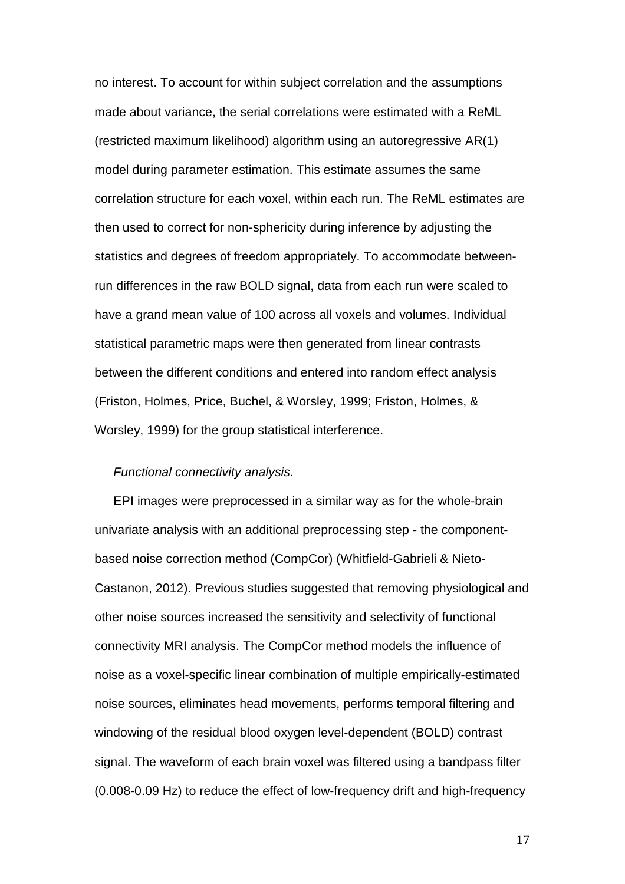no interest. To account for within subject correlation and the assumptions made about variance, the serial correlations were estimated with a ReML (restricted maximum likelihood) algorithm using an autoregressive AR(1) model during parameter estimation. This estimate assumes the same correlation structure for each voxel, within each run. The ReML estimates are then used to correct for non-sphericity during inference by adjusting the statistics and degrees of freedom appropriately. To accommodate betweenrun differences in the raw BOLD signal, data from each run were scaled to have a grand mean value of 100 across all voxels and volumes. Individual statistical parametric maps were then generated from linear contrasts between the different conditions and entered into random effect analysis (Friston, Holmes, Price, Buchel, & Worsley, 1999; Friston, Holmes, & Worsley, 1999) for the group statistical interference.

#### *Functional connectivity analysis*.

EPI images were preprocessed in a similar way as for the whole-brain univariate analysis with an additional preprocessing step - the componentbased noise correction method (CompCor) (Whitfield-Gabrieli & Nieto-Castanon, 2012). Previous studies suggested that removing physiological and other noise sources increased the sensitivity and selectivity of functional connectivity MRI analysis. The CompCor method models the influence of noise as a voxel-specific linear combination of multiple empirically-estimated noise sources, eliminates head movements, performs temporal filtering and windowing of the residual blood oxygen level-dependent (BOLD) contrast signal. The waveform of each brain voxel was filtered using a bandpass filter (0.008-0.09 Hz) to reduce the effect of low-frequency drift and high-frequency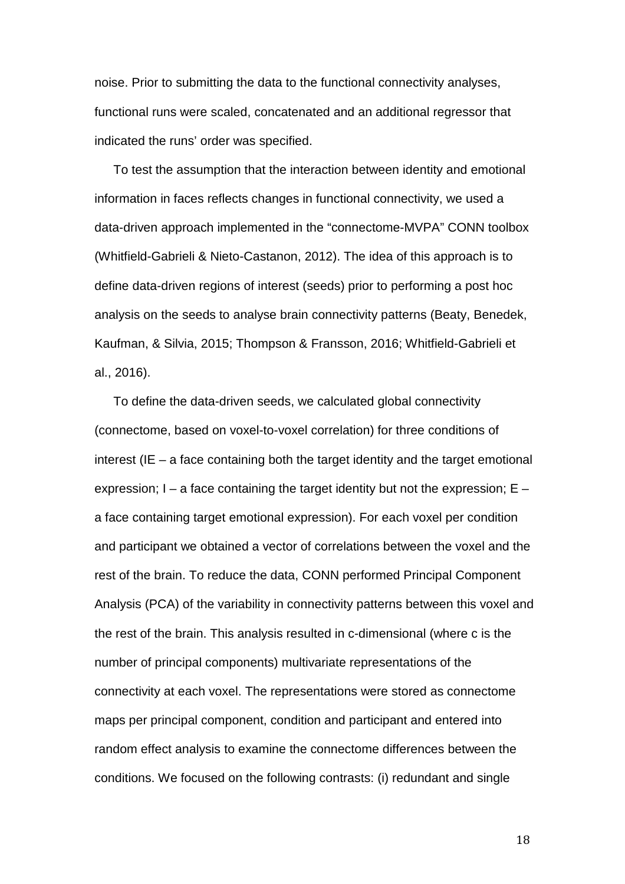noise. Prior to submitting the data to the functional connectivity analyses, functional runs were scaled, concatenated and an additional regressor that indicated the runs' order was specified.

To test the assumption that the interaction between identity and emotional information in faces reflects changes in functional connectivity, we used a data-driven approach implemented in the "connectome-MVPA" CONN toolbox (Whitfield-Gabrieli & Nieto-Castanon, 2012). The idea of this approach is to define data-driven regions of interest (seeds) prior to performing a post hoc analysis on the seeds to analyse brain connectivity patterns (Beaty, Benedek, Kaufman, & Silvia, 2015; Thompson & Fransson, 2016; Whitfield-Gabrieli et al., 2016).

To define the data-driven seeds, we calculated global connectivity (connectome, based on voxel-to-voxel correlation) for three conditions of interest (IE – a face containing both the target identity and the target emotional expression;  $I - a$  face containing the target identity but not the expression;  $E$ a face containing target emotional expression). For each voxel per condition and participant we obtained a vector of correlations between the voxel and the rest of the brain. To reduce the data, CONN performed Principal Component Analysis (PCA) of the variability in connectivity patterns between this voxel and the rest of the brain. This analysis resulted in c-dimensional (where c is the number of principal components) multivariate representations of the connectivity at each voxel. The representations were stored as connectome maps per principal component, condition and participant and entered into random effect analysis to examine the connectome differences between the conditions. We focused on the following contrasts: (i) redundant and single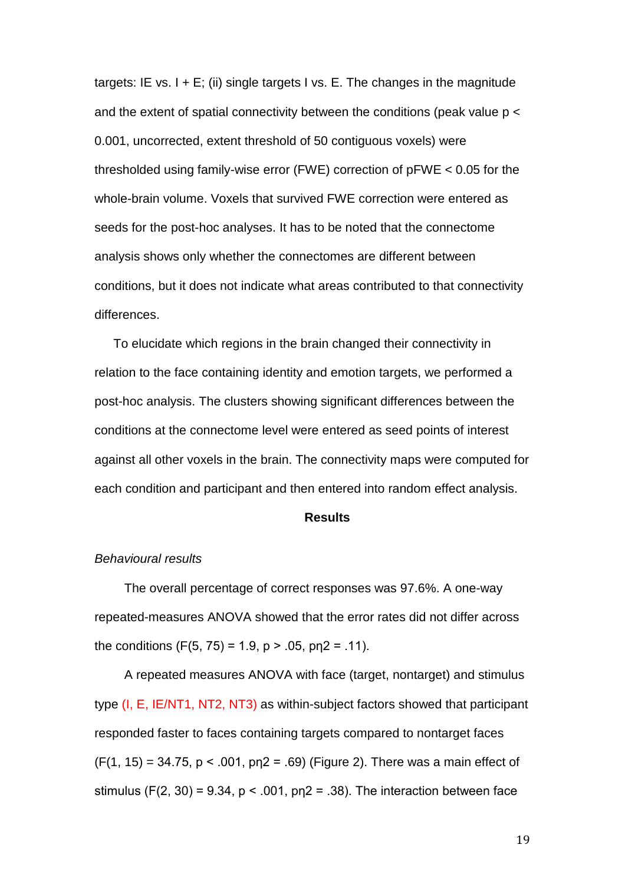targets: IE vs. I + E; (ii) single targets I vs. E. The changes in the magnitude and the extent of spatial connectivity between the conditions (peak value p < 0.001, uncorrected, extent threshold of 50 contiguous voxels) were thresholded using family-wise error (FWE) correction of pFWE < 0.05 for the whole-brain volume. Voxels that survived FWE correction were entered as seeds for the post-hoc analyses. It has to be noted that the connectome analysis shows only whether the connectomes are different between conditions, but it does not indicate what areas contributed to that connectivity differences.

To elucidate which regions in the brain changed their connectivity in relation to the face containing identity and emotion targets, we performed a post-hoc analysis. The clusters showing significant differences between the conditions at the connectome level were entered as seed points of interest against all other voxels in the brain. The connectivity maps were computed for each condition and participant and then entered into random effect analysis.

# **Results**

# *Behavioural results*

The overall percentage of correct responses was 97.6%. A one-way repeated-measures ANOVA showed that the error rates did not differ across the conditions  $(F(5, 75) = 1.9, p > .05, p_12 = .11)$ .

A repeated measures ANOVA with face (target, nontarget) and stimulus type (I, E, IE/NT1, NT2, NT3) as within-subject factors showed that participant responded faster to faces containing targets compared to nontarget faces  $(F(1, 15) = 34.75, p < .001, p_12 = .69)$  (Figure 2). There was a main effect of stimulus (F(2, 30) = 9.34,  $p < .001$ ,  $p_1 = .38$ ). The interaction between face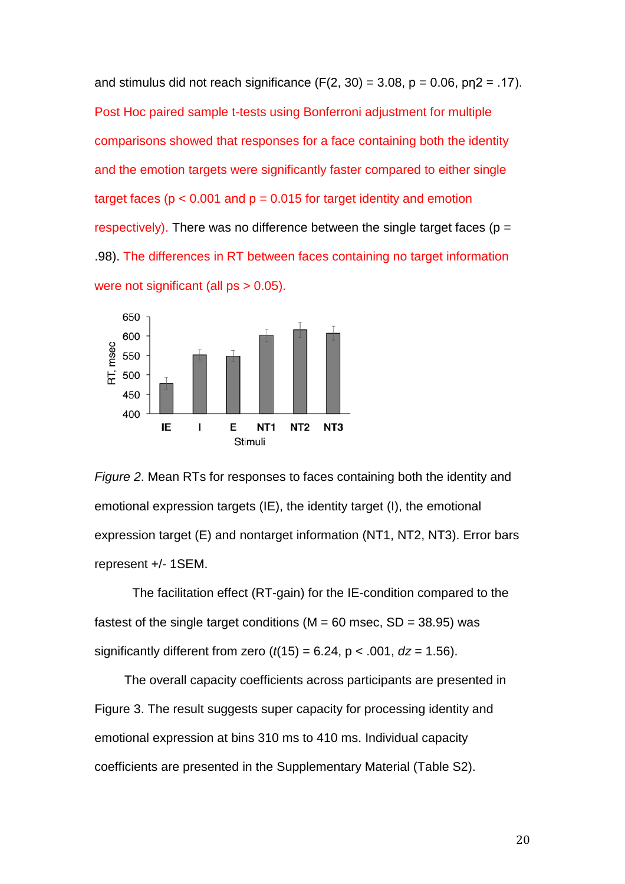and stimulus did not reach significance  $(F(2, 30) = 3.08, p = 0.06, pq = 0.17)$ . Post Hoc paired sample t-tests using Bonferroni adjustment for multiple comparisons showed that responses for a face containing both the identity and the emotion targets were significantly faster compared to either single target faces ( $p < 0.001$  and  $p = 0.015$  for target identity and emotion respectively). There was no difference between the single target faces ( $p =$ .98). The differences in RT between faces containing no target information were not significant (all ps > 0.05).



*Figure 2*. Mean RTs for responses to faces containing both the identity and emotional expression targets (IE), the identity target (I), the emotional expression target (E) and nontarget information (NT1, NT2, NT3). Error bars represent +/- 1SEM.

The facilitation effect (RT-gain) for the IE-condition compared to the fastest of the single target conditions ( $M = 60$  msec,  $SD = 38.95$ ) was significantly different from zero  $(t(15) = 6.24, p < .001, dz = 1.56)$ .

The overall capacity coefficients across participants are presented in Figure 3. The result suggests super capacity for processing identity and emotional expression at bins 310 ms to 410 ms. Individual capacity coefficients are presented in the Supplementary Material (Table S2).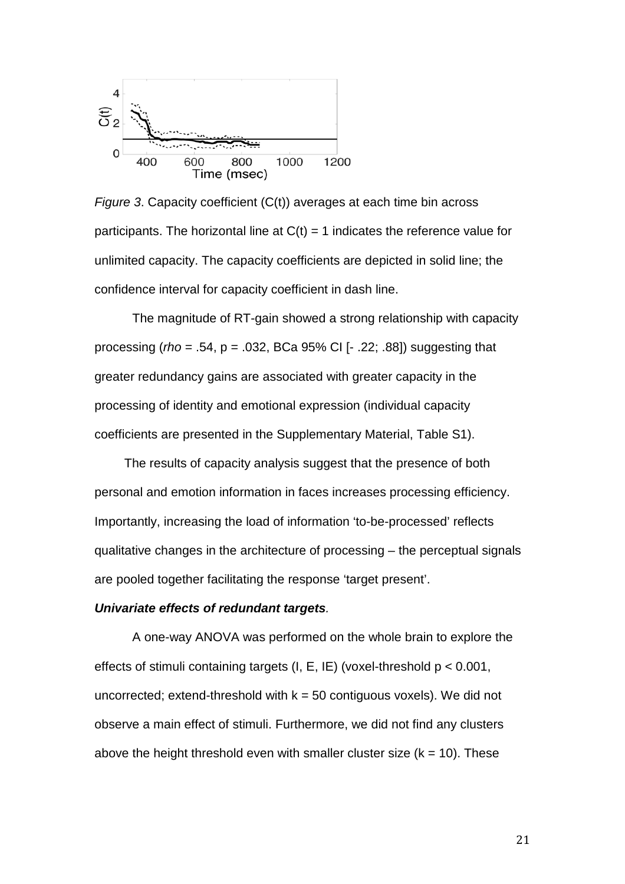

*Figure 3*. Capacity coefficient (C(t)) averages at each time bin across participants. The horizontal line at  $C(t) = 1$  indicates the reference value for unlimited capacity. The capacity coefficients are depicted in solid line; the confidence interval for capacity coefficient in dash line.

The magnitude of RT-gain showed a strong relationship with capacity processing (*rho* = .54, p = .032, BCa 95% CI [- .22; .88]) suggesting that greater redundancy gains are associated with greater capacity in the processing of identity and emotional expression (individual capacity coefficients are presented in the Supplementary Material, Table S1).

The results of capacity analysis suggest that the presence of both personal and emotion information in faces increases processing efficiency. Importantly, increasing the load of information 'to-be-processed' reflects qualitative changes in the architecture of processing – the perceptual signals are pooled together facilitating the response 'target present'.

# *Univariate effects of redundant targets.*

A one-way ANOVA was performed on the whole brain to explore the effects of stimuli containing targets (I, E, IE) (voxel-threshold p < 0.001, uncorrected; extend-threshold with  $k = 50$  contiguous voxels). We did not observe a main effect of stimuli. Furthermore, we did not find any clusters above the height threshold even with smaller cluster size  $(k = 10)$ . These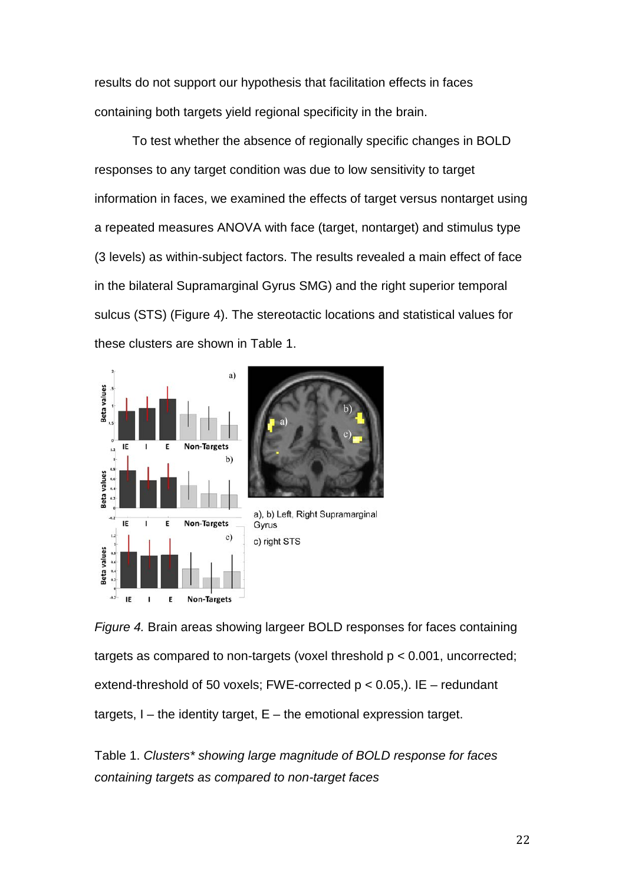results do not support our hypothesis that facilitation effects in faces containing both targets yield regional specificity in the brain.

To test whether the absence of regionally specific changes in BOLD responses to any target condition was due to low sensitivity to target information in faces, we examined the effects of target versus nontarget using a repeated measures ANOVA with face (target, nontarget) and stimulus type (3 levels) as within-subject factors. The results revealed a main effect of face in the bilateral Supramarginal Gyrus SMG) and the right superior temporal sulcus (STS) (Figure 4). The stereotactic locations and statistical values for these clusters are shown in Table 1.



*Figure 4.* Brain areas showing largeer BOLD responses for faces containing targets as compared to non-targets (voxel threshold  $p < 0.001$ , uncorrected; extend-threshold of 50 voxels; FWE-corrected  $p < 0.05$ .). IE – redundant targets,  $I$  – the identity target,  $E$  – the emotional expression target.

Table 1. *Clusters\* showing large magnitude of BOLD response for faces containing targets as compared to non-target faces*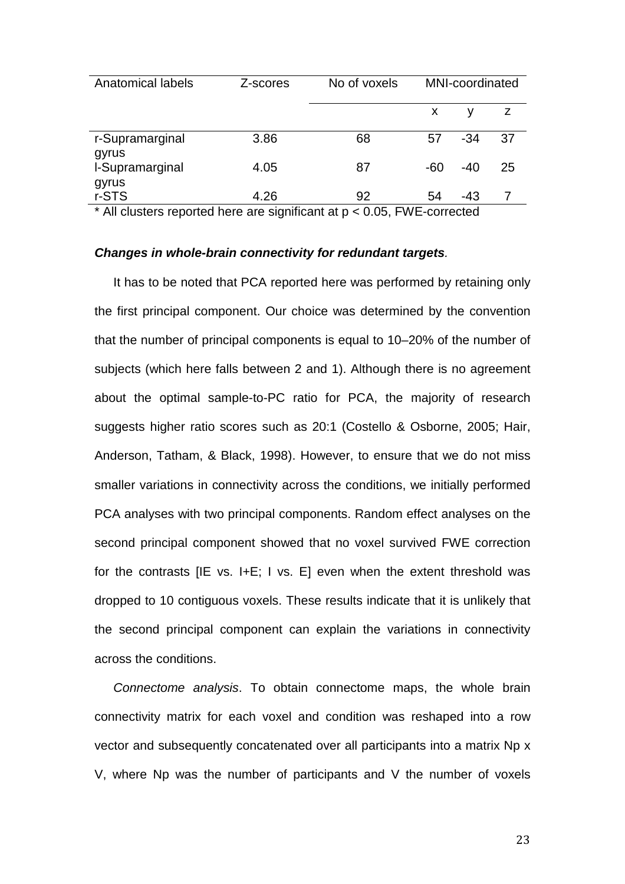| Z-scores | No of voxels | <b>MNI-coordinated</b> |       |    |
|----------|--------------|------------------------|-------|----|
|          |              | X                      |       | z  |
| 3.86     | 68           | 57                     | $-34$ | 37 |
| 4.05     | 87           | $-60$                  | $-40$ | 25 |
| 4.26     | 92           | 54                     | -43   |    |
|          | .<br>.       |                        |       |    |

\* All clusters reported here are significant at p < 0.05, FWE-corrected

#### *Changes in whole-brain connectivity for redundant targets.*

It has to be noted that PCA reported here was performed by retaining only the first principal component. Our choice was determined by the convention that the number of principal components is equal to 10–20% of the number of subjects (which here falls between 2 and 1). Although there is no agreement about the optimal sample-to-PC ratio for PCA, the majority of research suggests higher ratio scores such as 20:1 (Costello & Osborne, 2005; Hair, Anderson, Tatham, & Black, 1998). However, to ensure that we do not miss smaller variations in connectivity across the conditions, we initially performed PCA analyses with two principal components. Random effect analyses on the second principal component showed that no voxel survived FWE correction for the contrasts [IE vs. I+E; I vs. E] even when the extent threshold was dropped to 10 contiguous voxels. These results indicate that it is unlikely that the second principal component can explain the variations in connectivity across the conditions.

*Connectome analysis*. To obtain connectome maps, the whole brain connectivity matrix for each voxel and condition was reshaped into a row vector and subsequently concatenated over all participants into a matrix Np x V, where Np was the number of participants and V the number of voxels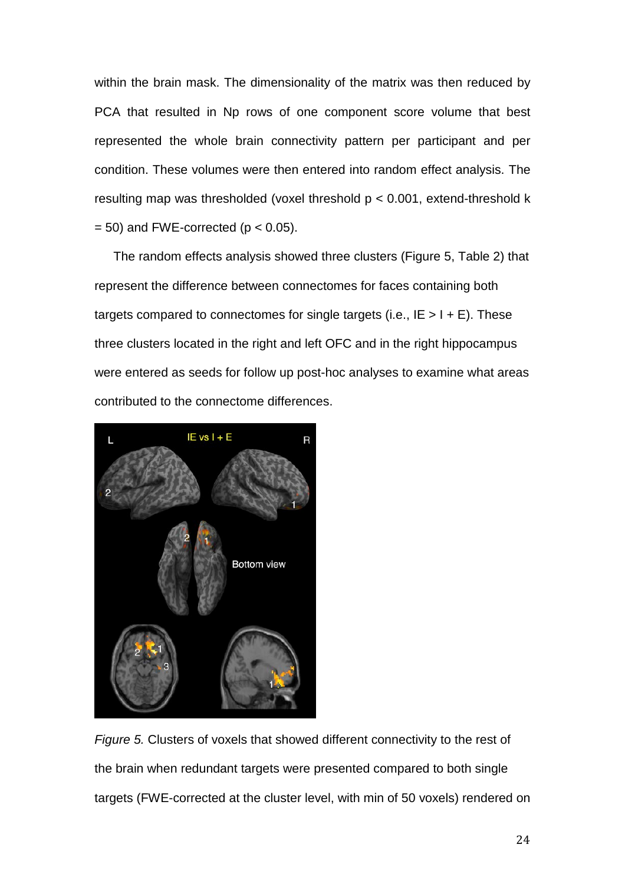within the brain mask. The dimensionality of the matrix was then reduced by PCA that resulted in Np rows of one component score volume that best represented the whole brain connectivity pattern per participant and per condition. These volumes were then entered into random effect analysis. The resulting map was thresholded (voxel threshold p < 0.001, extend-threshold k  $= 50$ ) and FWE-corrected (p  $< 0.05$ ).

The random effects analysis showed three clusters (Figure 5, Table 2) that represent the difference between connectomes for faces containing both targets compared to connectomes for single targets (i.e.,  $IE > I + E$ ). These three clusters located in the right and left OFC and in the right hippocampus were entered as seeds for follow up post-hoc analyses to examine what areas contributed to the connectome differences.



*Figure 5.* Clusters of voxels that showed different connectivity to the rest of the brain when redundant targets were presented compared to both single targets (FWE-corrected at the cluster level, with min of 50 voxels) rendered on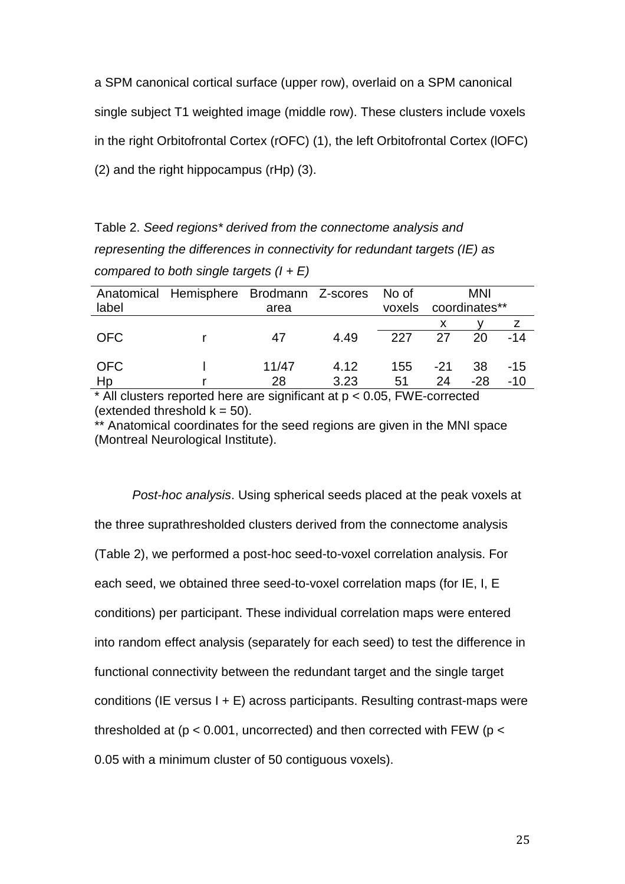a SPM canonical cortical surface (upper row), overlaid on a SPM canonical single subject T1 weighted image (middle row). These clusters include voxels in the right Orbitofrontal Cortex (rOFC) (1), the left Orbitofrontal Cortex (lOFC) (2) and the right hippocampus (rHp) (3).

Table 2. *Seed regions\* derived from the connectome analysis and representing the differences in connectivity for redundant targets (IE) as compared to both single targets (I + E)*

| label      | Anatomical Hemisphere Brodmann Z-scores | area           |      | No of<br>voxels | MNI<br>coordinates** |       |       |
|------------|-----------------------------------------|----------------|------|-----------------|----------------------|-------|-------|
|            |                                         |                |      |                 |                      |       |       |
| <b>OFC</b> |                                         | 47             | 4.49 | 227             | 27                   | 20    | $-14$ |
| <b>OFC</b> |                                         | 11/47          | 4.12 | 155             | $-21$                | -38   | $-15$ |
| Hp<br>.    | .                                       | 28<br>$\cdots$ | 3.23 | 51              | 24                   | $-28$ | $-10$ |

 $*$  All clusters reported here are significant at  $p < 0.05$ , FWE-corrected (extended threshold  $k = 50$ ).

\*\* Anatomical coordinates for the seed regions are given in the MNI space (Montreal Neurological Institute).

*Post-hoc analysis*. Using spherical seeds placed at the peak voxels at the three suprathresholded clusters derived from the connectome analysis (Table 2), we performed a post-hoc seed-to-voxel correlation analysis. For each seed, we obtained three seed-to-voxel correlation maps (for IE, I, E conditions) per participant. These individual correlation maps were entered into random effect analysis (separately for each seed) to test the difference in functional connectivity between the redundant target and the single target conditions (IE versus I + E) across participants. Resulting contrast-maps were thresholded at ( $p < 0.001$ , uncorrected) and then corrected with FEW ( $p <$ 0.05 with a minimum cluster of 50 contiguous voxels).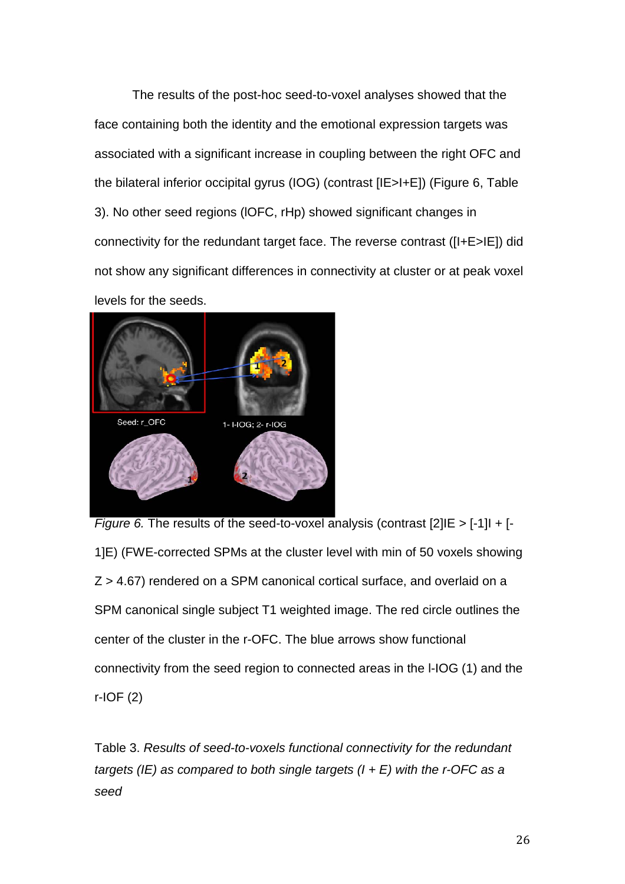The results of the post-hoc seed-to-voxel analyses showed that the face containing both the identity and the emotional expression targets was associated with a significant increase in coupling between the right OFC and the bilateral inferior occipital gyrus (IOG) (contrast [IE>I+E]) (Figure 6, Table 3). No other seed regions (lOFC, rHp) showed significant changes in connectivity for the redundant target face. The reverse contrast ([I+E>IE]) did not show any significant differences in connectivity at cluster or at peak voxel levels for the seeds.



*Figure 6.* The results of the seed-to-voxel analysis (contrast [2] IE > [-1] I + [-1]E) (FWE-corrected SPMs at the cluster level with min of 50 voxels showing Z > 4.67) rendered on a SPM canonical cortical surface, and overlaid on a SPM canonical single subject T1 weighted image. The red circle outlines the center of the cluster in the r-OFC. The blue arrows show functional connectivity from the seed region to connected areas in the l-IOG (1) and the r-IOF (2)

Table 3. *Results of seed-to-voxels functional connectivity for the redundant targets (IE) as compared to both single targets (I + E) with the r-OFC as a seed*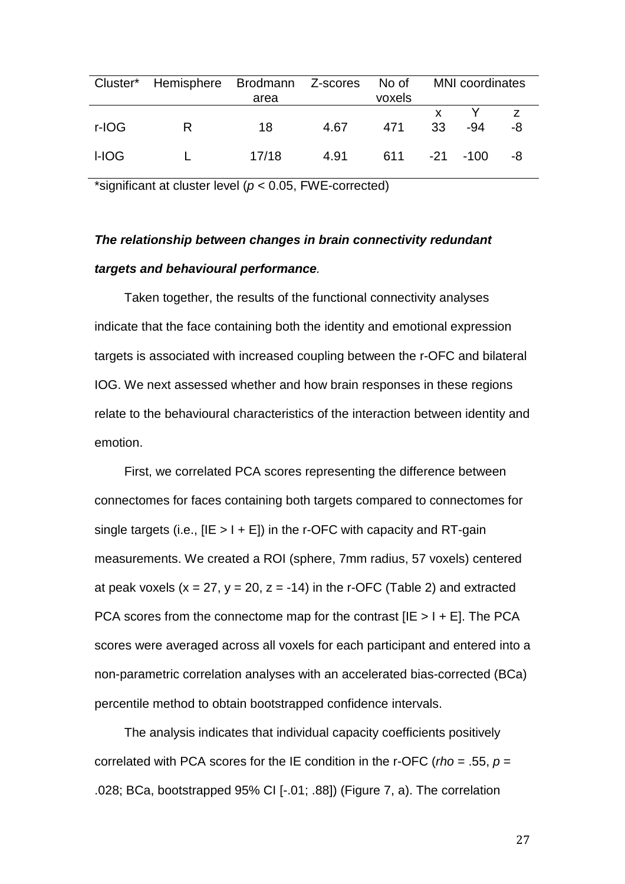|       | Cluster* Hemisphere Brodmann Z-scores No of | area  |      | voxels         | <b>MNI</b> coordinates |     |    |
|-------|---------------------------------------------|-------|------|----------------|------------------------|-----|----|
| r-IOG | R                                           | 18    | 4.67 | 471            | 33                     | -94 | -8 |
| I-IOG |                                             | 17/18 | 4.91 | $611 -21 -100$ |                        |     | -8 |

\*significant at cluster level (*p* < 0.05, FWE-corrected)

# *The relationship between changes in brain connectivity redundant targets and behavioural performance.*

Taken together, the results of the functional connectivity analyses indicate that the face containing both the identity and emotional expression targets is associated with increased coupling between the r-OFC and bilateral IOG. We next assessed whether and how brain responses in these regions relate to the behavioural characteristics of the interaction between identity and emotion.

First, we correlated PCA scores representing the difference between connectomes for faces containing both targets compared to connectomes for single targets (i.e.,  $[IE > I + E]$ ) in the r-OFC with capacity and RT-gain measurements. We created a ROI (sphere, 7mm radius, 57 voxels) centered at peak voxels  $(x = 27, y = 20, z = -14)$  in the r-OFC (Table 2) and extracted PCA scores from the connectome map for the contrast  $[IE > I + E]$ . The PCA scores were averaged across all voxels for each participant and entered into a non-parametric correlation analyses with an accelerated bias-corrected (BCa) percentile method to obtain bootstrapped confidence intervals.

The analysis indicates that individual capacity coefficients positively correlated with PCA scores for the IE condition in the r-OFC (*rho* = .55, *p* = .028; BCa, bootstrapped 95% CI [-.01; .88]) (Figure 7, a). The correlation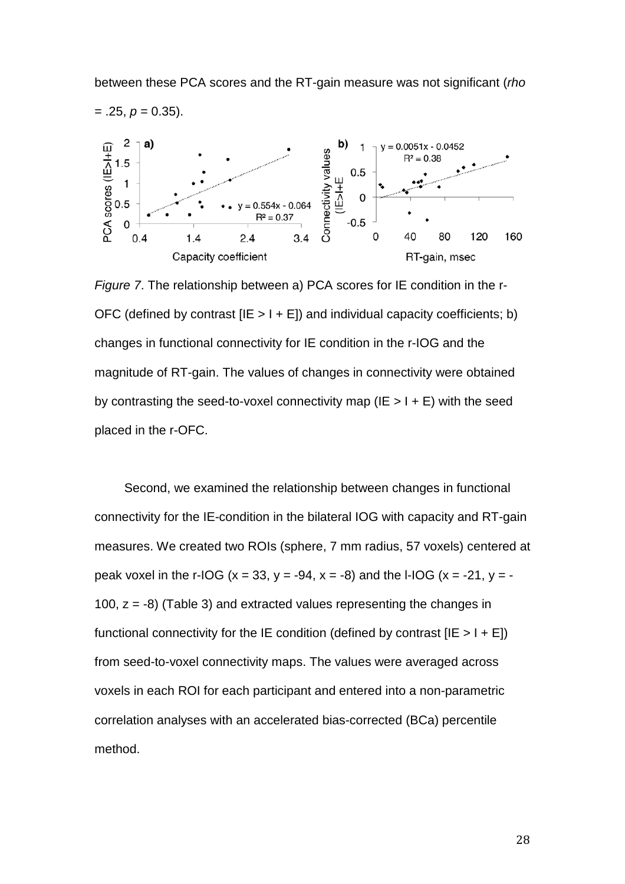

*Figure 7*. The relationship between a) PCA scores for IE condition in the r-OFC (defined by contrast  $[IE > I + E]$ ) and individual capacity coefficients; b) changes in functional connectivity for IE condition in the r-IOG and the magnitude of RT-gain. The values of changes in connectivity were obtained by contrasting the seed-to-voxel connectivity map ( $IE > I + E$ ) with the seed placed in the r-OFC.

Second, we examined the relationship between changes in functional connectivity for the IE-condition in the bilateral IOG with capacity and RT-gain measures. We created two ROIs (sphere, 7 mm radius, 57 voxels) centered at peak voxel in the r-IOG (x = 33, y = -94, x = -8) and the I-IOG (x = -21, y = -100,  $z = -8$ ) (Table 3) and extracted values representing the changes in functional connectivity for the IE condition (defined by contrast  $[IE > I + E]$ ) from seed-to-voxel connectivity maps. The values were averaged across voxels in each ROI for each participant and entered into a non-parametric correlation analyses with an accelerated bias-corrected (BCa) percentile method.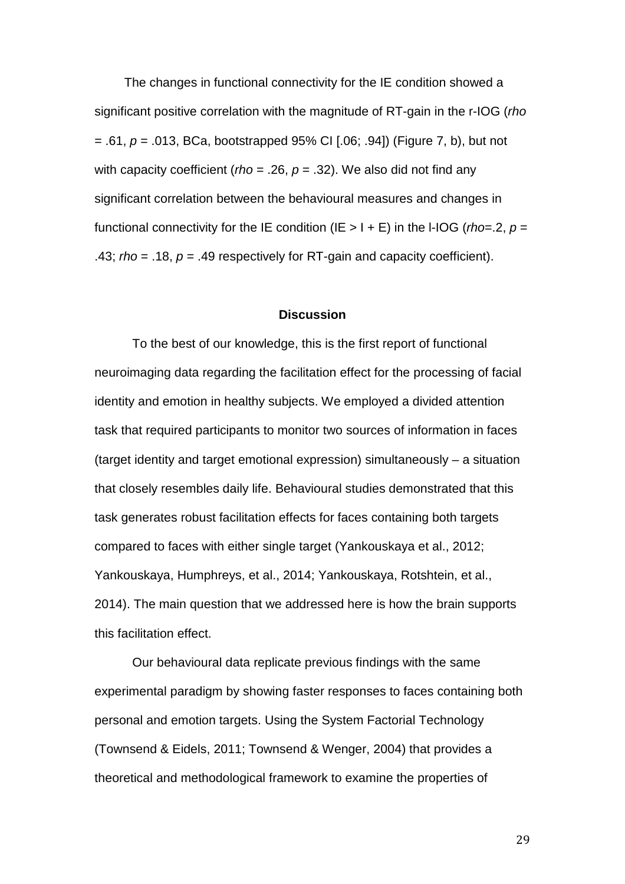The changes in functional connectivity for the IE condition showed a significant positive correlation with the magnitude of RT-gain in the r-IOG (*rho* = .61, *p* = .013, BCa, bootstrapped 95% CI [.06; .94]) (Figure 7, b), but not with capacity coefficient (*rho* = .26, *p* = .32). We also did not find any significant correlation between the behavioural measures and changes in functional connectivity for the IE condition (IE  $> 1 + E$ ) in the I-IOG (*rho*=.2,  $p =$ .43; *rho* = .18, *p* = .49 respectively for RT-gain and capacity coefficient).

## **Discussion**

To the best of our knowledge, this is the first report of functional neuroimaging data regarding the facilitation effect for the processing of facial identity and emotion in healthy subjects. We employed a divided attention task that required participants to monitor two sources of information in faces (target identity and target emotional expression) simultaneously – a situation that closely resembles daily life. Behavioural studies demonstrated that this task generates robust facilitation effects for faces containing both targets compared to faces with either single target (Yankouskaya et al., 2012; Yankouskaya, Humphreys, et al., 2014; Yankouskaya, Rotshtein, et al., 2014). The main question that we addressed here is how the brain supports this facilitation effect.

Our behavioural data replicate previous findings with the same experimental paradigm by showing faster responses to faces containing both personal and emotion targets. Using the System Factorial Technology (Townsend & Eidels, 2011; Townsend & Wenger, 2004) that provides a theoretical and methodological framework to examine the properties of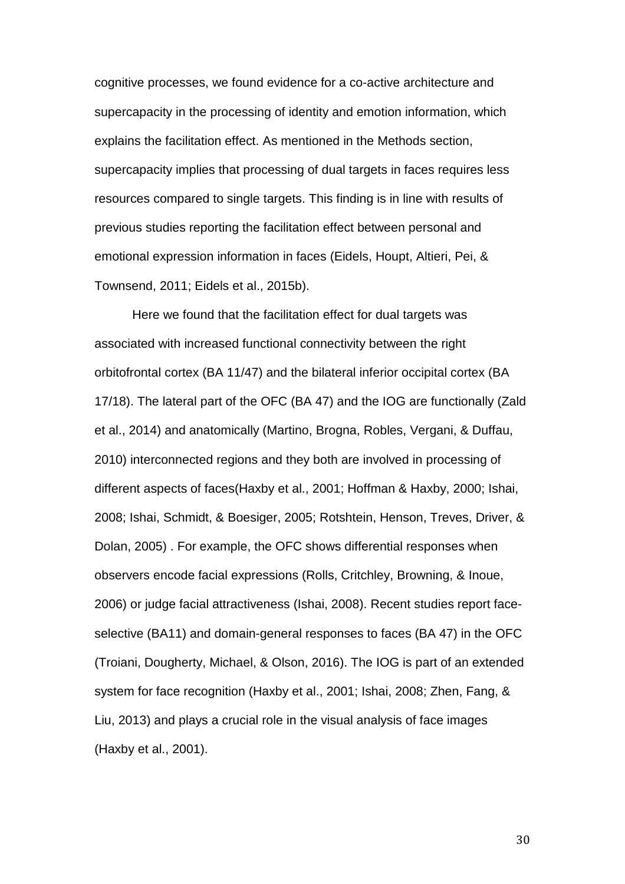cognitive processes, we found evidence for a co-active architecture and supercapacity in the processing of identity and emotion information, which explains the facilitation effect. As mentioned in the Methods section, supercapacity implies that processing of dual targets in faces requires less resources compared to single targets. This finding is in line with results of previous studies reporting the facilitation effect between personal and emotional expression information in faces (Eidels, Houpt, Altieri, Pei, & Townsend, 2011; Eidels et al., 2015b).

Here we found that the facilitation effect for dual targets was associated with increased functional connectivity between the right orbitofrontal cortex (BA 11/47) and the bilateral inferior occipital cortex (BA 17/18). The lateral part of the OFC (BA 47) and the IOG are functionally (Zald et al., 2014) and anatomically (Martino, Brogna, Robles, Vergani, & Duffau, 2010) interconnected regions and they both are involved in processing of different aspects of faces(Haxby et al., 2001; Hoffman & Haxby, 2000; Ishai, 2008; Ishai, Schmidt, & Boesiger, 2005; Rotshtein, Henson, Treves, Driver, & Dolan, 2005) . For example, the OFC shows differential responses when observers encode facial expressions (Rolls, Critchley, Browning, & Inoue, 2006) or judge facial attractiveness (Ishai, 2008). Recent studies report faceselective (BA11) and domain-general responses to faces (BA 47) in the OFC (Troiani, Dougherty, Michael, & Olson, 2016). The IOG is part of an extended system for face recognition (Haxby et al., 2001; Ishai, 2008; Zhen, Fang, & Liu, 2013) and plays a crucial role in the visual analysis of face images (Haxby et al., 2001).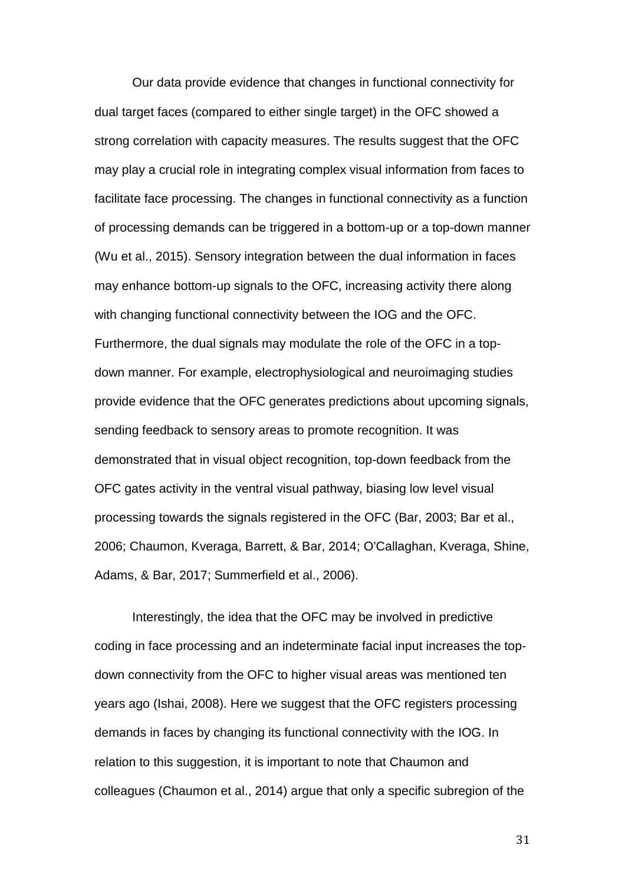Our data provide evidence that changes in functional connectivity for dual target faces (compared to either single target) in the OFC showed a strong correlation with capacity measures. The results suggest that the OFC may play a crucial role in integrating complex visual information from faces to facilitate face processing. The changes in functional connectivity as a function of processing demands can be triggered in a bottom-up or a top-down manner (Wu et al., 2015). Sensory integration between the dual information in faces may enhance bottom-up signals to the OFC, increasing activity there along with changing functional connectivity between the IOG and the OFC. Furthermore, the dual signals may modulate the role of the OFC in a topdown manner. For example, electrophysiological and neuroimaging studies provide evidence that the OFC generates predictions about upcoming signals, sending feedback to sensory areas to promote recognition. It was demonstrated that in visual object recognition, top-down feedback from the OFC gates activity in the ventral visual pathway, biasing low level visual processing towards the signals registered in the OFC (Bar, 2003; Bar et al., 2006; Chaumon, Kveraga, Barrett, & Bar, 2014; O'Callaghan, Kveraga, Shine, Adams, & Bar, 2017; Summerfield et al., 2006).

Interestingly, the idea that the OFC may be involved in predictive coding in face processing and an indeterminate facial input increases the topdown connectivity from the OFC to higher visual areas was mentioned ten years ago (Ishai, 2008). Here we suggest that the OFC registers processing demands in faces by changing its functional connectivity with the IOG. In relation to this suggestion, it is important to note that Chaumon and colleagues (Chaumon et al., 2014) argue that only a specific subregion of the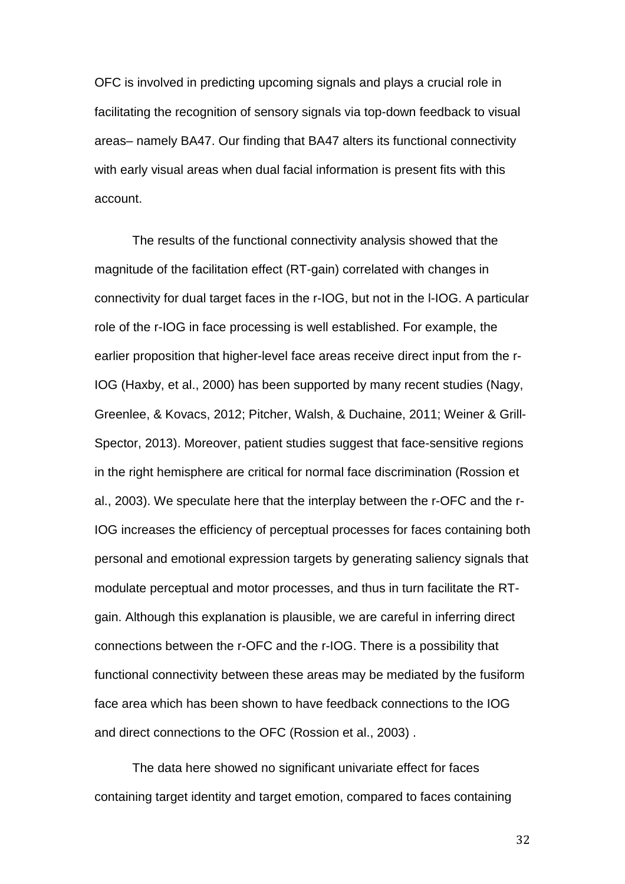OFC is involved in predicting upcoming signals and plays a crucial role in facilitating the recognition of sensory signals via top-down feedback to visual areas– namely BA47. Our finding that BA47 alters its functional connectivity with early visual areas when dual facial information is present fits with this account.

The results of the functional connectivity analysis showed that the magnitude of the facilitation effect (RT-gain) correlated with changes in connectivity for dual target faces in the r-IOG, but not in the l-IOG. A particular role of the r-IOG in face processing is well established. For example, the earlier proposition that higher-level face areas receive direct input from the r-IOG (Haxby, et al., 2000) has been supported by many recent studies (Nagy, Greenlee, & Kovacs, 2012; Pitcher, Walsh, & Duchaine, 2011; Weiner & Grill-Spector, 2013). Moreover, patient studies suggest that face-sensitive regions in the right hemisphere are critical for normal face discrimination (Rossion et al., 2003). We speculate here that the interplay between the r-OFC and the r-IOG increases the efficiency of perceptual processes for faces containing both personal and emotional expression targets by generating saliency signals that modulate perceptual and motor processes, and thus in turn facilitate the RTgain. Although this explanation is plausible, we are careful in inferring direct connections between the r-OFC and the r-IOG. There is a possibility that functional connectivity between these areas may be mediated by the fusiform face area which has been shown to have feedback connections to the IOG and direct connections to the OFC (Rossion et al., 2003) .

The data here showed no significant univariate effect for faces containing target identity and target emotion, compared to faces containing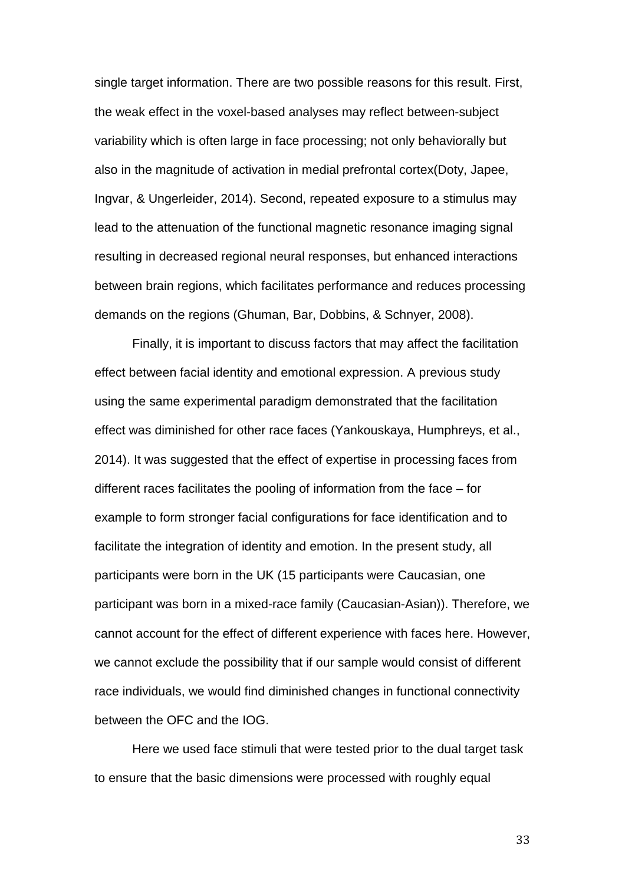single target information. There are two possible reasons for this result. First, the weak effect in the voxel-based analyses may reflect between-subject variability which is often large in face processing; not only behaviorally but also in the magnitude of activation in medial prefrontal cortex(Doty, Japee, Ingvar, & Ungerleider, 2014). Second, repeated exposure to a stimulus may lead to the attenuation of the functional magnetic resonance imaging signal resulting in decreased regional neural responses, but enhanced interactions between brain regions, which facilitates performance and reduces processing demands on the regions (Ghuman, Bar, Dobbins, & Schnyer, 2008).

Finally, it is important to discuss factors that may affect the facilitation effect between facial identity and emotional expression. A previous study using the same experimental paradigm demonstrated that the facilitation effect was diminished for other race faces (Yankouskaya, Humphreys, et al., 2014). It was suggested that the effect of expertise in processing faces from different races facilitates the pooling of information from the face – for example to form stronger facial configurations for face identification and to facilitate the integration of identity and emotion. In the present study, all participants were born in the UK (15 participants were Caucasian, one participant was born in a mixed-race family (Caucasian-Asian)). Therefore, we cannot account for the effect of different experience with faces here. However, we cannot exclude the possibility that if our sample would consist of different race individuals, we would find diminished changes in functional connectivity between the OFC and the IOG.

Here we used face stimuli that were tested prior to the dual target task to ensure that the basic dimensions were processed with roughly equal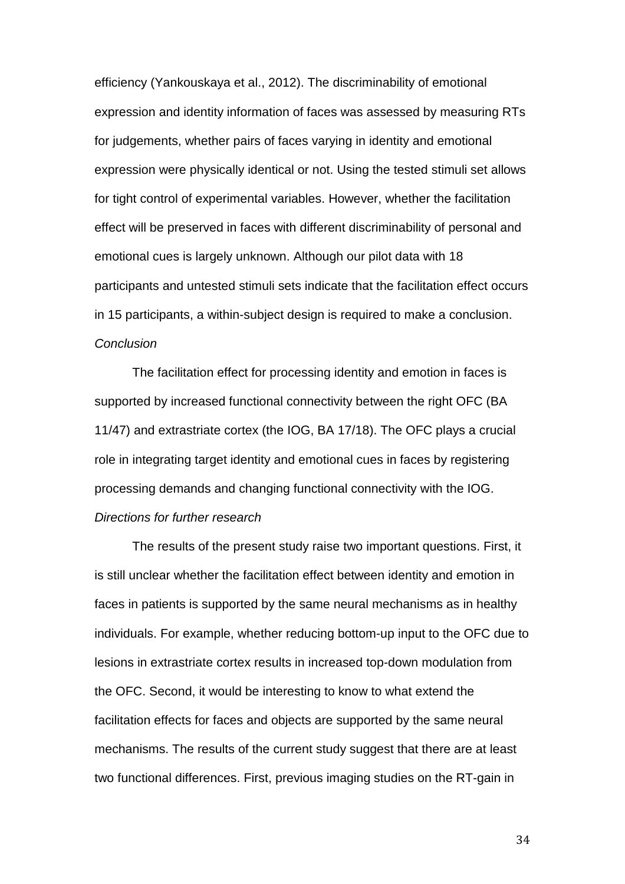efficiency (Yankouskaya et al., 2012). The discriminability of emotional expression and identity information of faces was assessed by measuring RTs for judgements, whether pairs of faces varying in identity and emotional expression were physically identical or not. Using the tested stimuli set allows for tight control of experimental variables. However, whether the facilitation effect will be preserved in faces with different discriminability of personal and emotional cues is largely unknown. Although our pilot data with 18 participants and untested stimuli sets indicate that the facilitation effect occurs in 15 participants, a within-subject design is required to make a conclusion. *Conclusion*

The facilitation effect for processing identity and emotion in faces is supported by increased functional connectivity between the right OFC (BA 11/47) and extrastriate cortex (the IOG, BA 17/18). The OFC plays a crucial role in integrating target identity and emotional cues in faces by registering processing demands and changing functional connectivity with the IOG. *Directions for further research*

The results of the present study raise two important questions. First, it is still unclear whether the facilitation effect between identity and emotion in faces in patients is supported by the same neural mechanisms as in healthy individuals. For example, whether reducing bottom-up input to the OFC due to lesions in extrastriate cortex results in increased top-down modulation from the OFC. Second, it would be interesting to know to what extend the facilitation effects for faces and objects are supported by the same neural mechanisms. The results of the current study suggest that there are at least two functional differences. First, previous imaging studies on the RT-gain in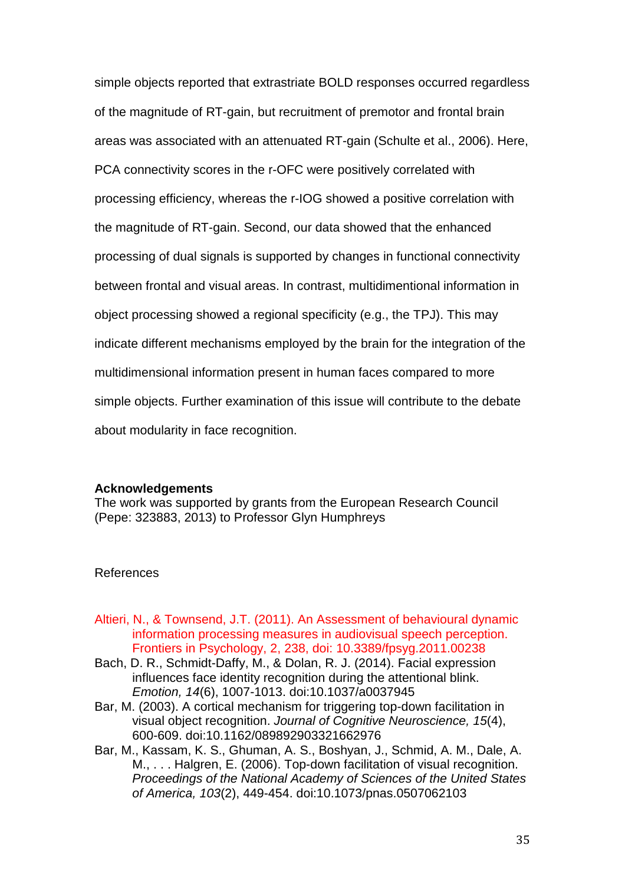simple objects reported that extrastriate BOLD responses occurred regardless of the magnitude of RT-gain, but recruitment of premotor and frontal brain areas was associated with an attenuated RT-gain (Schulte et al., 2006). Here, PCA connectivity scores in the r-OFC were positively correlated with processing efficiency, whereas the r-IOG showed a positive correlation with the magnitude of RT-gain. Second, our data showed that the enhanced processing of dual signals is supported by changes in functional connectivity between frontal and visual areas. In contrast, multidimentional information in object processing showed a regional specificity (e.g., the TPJ). This may indicate different mechanisms employed by the brain for the integration of the multidimensional information present in human faces compared to more simple objects. Further examination of this issue will contribute to the debate about modularity in face recognition.

# **Acknowledgements**

The work was supported by grants from the European Research Council (Pepe: 323883, 2013) to Professor Glyn Humphreys

# References

- Altieri, N., & Townsend, J.T. (2011). An Assessment of behavioural dynamic information processing measures in audiovisual speech perception. Frontiers in Psychology, 2, 238, doi: 10.3389/fpsyg.2011.00238
- Bach, D. R., Schmidt-Daffy, M., & Dolan, R. J. (2014). Facial expression influences face identity recognition during the attentional blink. *Emotion, 14*(6), 1007-1013. doi:10.1037/a0037945
- Bar, M. (2003). A cortical mechanism for triggering top-down facilitation in visual object recognition. *Journal of Cognitive Neuroscience, 15*(4), 600-609. doi:10.1162/089892903321662976
- Bar, M., Kassam, K. S., Ghuman, A. S., Boshyan, J., Schmid, A. M., Dale, A. M., . . . Halgren, E. (2006). Top-down facilitation of visual recognition. *Proceedings of the National Academy of Sciences of the United States of America, 103*(2), 449-454. doi:10.1073/pnas.0507062103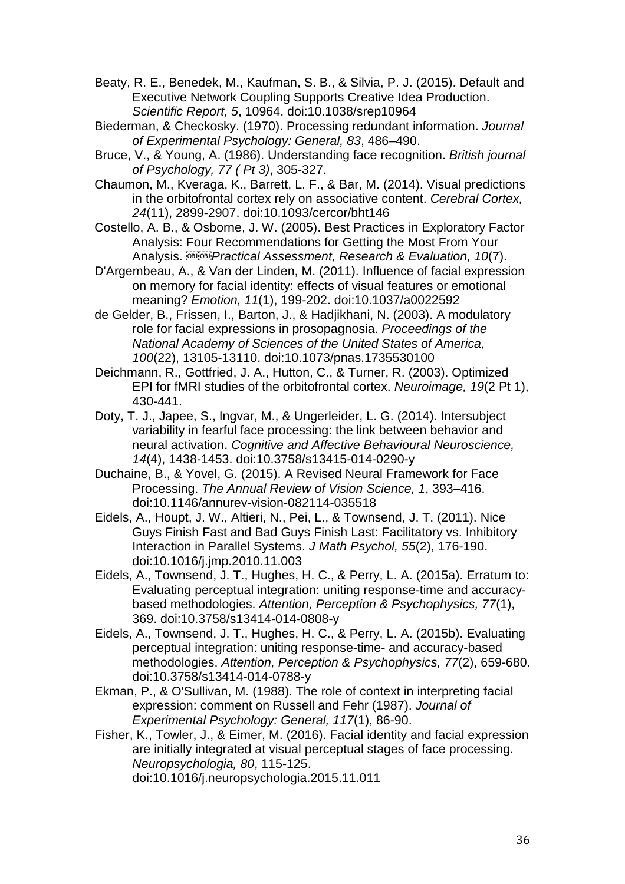- Beaty, R. E., Benedek, M., Kaufman, S. B., & Silvia, P. J. (2015). Default and Executive Network Coupling Supports Creative Idea Production. *Scientific Report, 5*, 10964. doi:10.1038/srep10964
- Biederman, & Checkosky. (1970). Processing redundant information. *Journal of Experimental Psychology: General, 83*, 486–490.
- Bruce, V., & Young, A. (1986). Understanding face recognition. *British journal of Psychology, 77 ( Pt 3)*, 305-327.
- Chaumon, M., Kveraga, K., Barrett, L. F., & Bar, M. (2014). Visual predictions in the orbitofrontal cortex rely on associative content. *Cerebral Cortex, 24*(11), 2899-2907. doi:10.1093/cercor/bht146
- Costello, A. B., & Osborne, J. W. (2005). Best Practices in Exploratory Factor Analysis: Four Recommendations for Getting the Most From Your Analysis. *Practical Assessment, Research & Evaluation, 10*(7).
- D'Argembeau, A., & Van der Linden, M. (2011). Influence of facial expression on memory for facial identity: effects of visual features or emotional meaning? *Emotion, 11*(1), 199-202. doi:10.1037/a0022592
- de Gelder, B., Frissen, I., Barton, J., & Hadjikhani, N. (2003). A modulatory role for facial expressions in prosopagnosia. *Proceedings of the National Academy of Sciences of the United States of America, 100*(22), 13105-13110. doi:10.1073/pnas.1735530100
- Deichmann, R., Gottfried, J. A., Hutton, C., & Turner, R. (2003). Optimized EPI for fMRI studies of the orbitofrontal cortex. *Neuroimage, 19*(2 Pt 1), 430-441.
- Doty, T. J., Japee, S., Ingvar, M., & Ungerleider, L. G. (2014). Intersubject variability in fearful face processing: the link between behavior and neural activation. *Cognitive and Affective Behavioural Neuroscience, 14*(4), 1438-1453. doi:10.3758/s13415-014-0290-y
- Duchaine, B., & Yovel, G. (2015). A Revised Neural Framework for Face Processing. *The Annual Review of Vision Science, 1*, 393–416. doi:10.1146/annurev-vision-082114-035518
- Eidels, A., Houpt, J. W., Altieri, N., Pei, L., & Townsend, J. T. (2011). Nice Guys Finish Fast and Bad Guys Finish Last: Facilitatory vs. Inhibitory Interaction in Parallel Systems. *J Math Psychol, 55*(2), 176-190. doi:10.1016/j.jmp.2010.11.003
- Eidels, A., Townsend, J. T., Hughes, H. C., & Perry, L. A. (2015a). Erratum to: Evaluating perceptual integration: uniting response-time and accuracybased methodologies. *Attention, Perception & Psychophysics, 77*(1), 369. doi:10.3758/s13414-014-0808-y
- Eidels, A., Townsend, J. T., Hughes, H. C., & Perry, L. A. (2015b). Evaluating perceptual integration: uniting response-time- and accuracy-based methodologies. *Attention, Perception & Psychophysics, 77*(2), 659-680. doi:10.3758/s13414-014-0788-y
- Ekman, P., & O'Sullivan, M. (1988). The role of context in interpreting facial expression: comment on Russell and Fehr (1987). *Journal of Experimental Psychology: General, 117*(1), 86-90.
- Fisher, K., Towler, J., & Eimer, M. (2016). Facial identity and facial expression are initially integrated at visual perceptual stages of face processing. *Neuropsychologia, 80*, 115-125. doi:10.1016/j.neuropsychologia.2015.11.011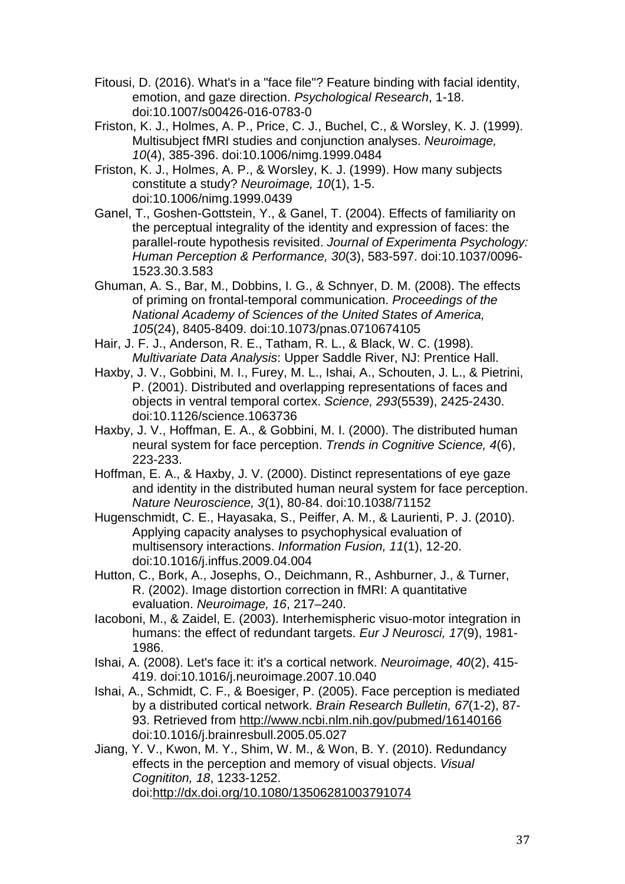- Fitousi, D. (2016). What's in a "face file"? Feature binding with facial identity, emotion, and gaze direction. *Psychological Research*, 1-18. doi:10.1007/s00426-016-0783-0
- Friston, K. J., Holmes, A. P., Price, C. J., Buchel, C., & Worsley, K. J. (1999). Multisubject fMRI studies and conjunction analyses. *Neuroimage, 10*(4), 385-396. doi:10.1006/nimg.1999.0484
- Friston, K. J., Holmes, A. P., & Worsley, K. J. (1999). How many subjects constitute a study? *Neuroimage, 10*(1), 1-5. doi:10.1006/nimg.1999.0439
- Ganel, T., Goshen-Gottstein, Y., & Ganel, T. (2004). Effects of familiarity on the perceptual integrality of the identity and expression of faces: the parallel-route hypothesis revisited. *Journal of Experimenta Psychology: Human Perception & Performance, 30*(3), 583-597. doi:10.1037/0096- 1523.30.3.583
- Ghuman, A. S., Bar, M., Dobbins, I. G., & Schnyer, D. M. (2008). The effects of priming on frontal-temporal communication. *Proceedings of the National Academy of Sciences of the United States of America, 105*(24), 8405-8409. doi:10.1073/pnas.0710674105
- Hair, J. F. J., Anderson, R. E., Tatham, R. L., & Black, W. C. (1998). *Multivariate Data Analysis*: Upper Saddle River, NJ: Prentice Hall.
- Haxby, J. V., Gobbini, M. I., Furey, M. L., Ishai, A., Schouten, J. L., & Pietrini, P. (2001). Distributed and overlapping representations of faces and objects in ventral temporal cortex. *Science, 293*(5539), 2425-2430. doi:10.1126/science.1063736
- Haxby, J. V., Hoffman, E. A., & Gobbini, M. I. (2000). The distributed human neural system for face perception. *Trends in Cognitive Science, 4*(6), 223-233.
- Hoffman, E. A., & Haxby, J. V. (2000). Distinct representations of eye gaze and identity in the distributed human neural system for face perception. *Nature Neuroscience, 3*(1), 80-84. doi:10.1038/71152
- Hugenschmidt, C. E., Hayasaka, S., Peiffer, A. M., & Laurienti, P. J. (2010). Applying capacity analyses to psychophysical evaluation of multisensory interactions. *Information Fusion, 11*(1), 12-20. doi:10.1016/j.inffus.2009.04.004
- Hutton, C., Bork, A., Josephs, O., Deichmann, R., Ashburner, J., & Turner, R. (2002). Image distortion correction in fMRI: A quantitative evaluation. *Neuroimage, 16*, 217–240.
- Iacoboni, M., & Zaidel, E. (2003). Interhemispheric visuo-motor integration in humans: the effect of redundant targets. *Eur J Neurosci, 17*(9), 1981- 1986.
- Ishai, A. (2008). Let's face it: it's a cortical network. *Neuroimage, 40*(2), 415- 419. doi:10.1016/j.neuroimage.2007.10.040
- Ishai, A., Schmidt, C. F., & Boesiger, P. (2005). Face perception is mediated by a distributed cortical network. *Brain Research Bulletin, 67*(1-2), 87- 93. Retrieved from<http://www.ncbi.nlm.nih.gov/pubmed/16140166> doi:10.1016/j.brainresbull.2005.05.027
- Jiang, Y. V., Kwon, M. Y., Shim, W. M., & Won, B. Y. (2010). Redundancy effects in the perception and memory of visual objects. *Visual Cognititon, 18*, 1233-1252. doi[:http://dx.doi.org/10.1080/13506281003791074](http://dx.doi.org/10.1080/13506281003791074)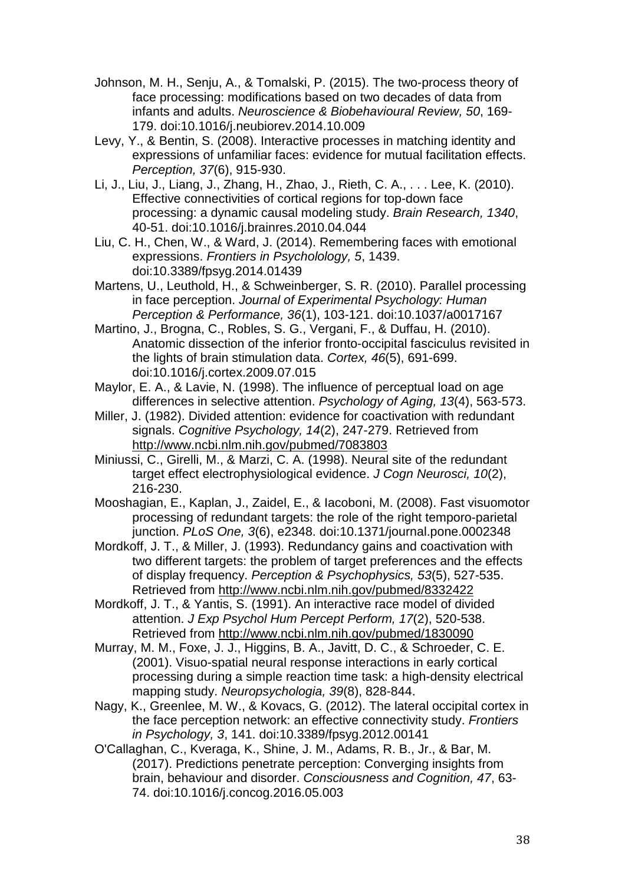- Johnson, M. H., Senju, A., & Tomalski, P. (2015). The two-process theory of face processing: modifications based on two decades of data from infants and adults. *Neuroscience & Biobehavioural Review, 50*, 169- 179. doi:10.1016/j.neubiorev.2014.10.009
- Levy, Y., & Bentin, S. (2008). Interactive processes in matching identity and expressions of unfamiliar faces: evidence for mutual facilitation effects. *Perception, 37*(6), 915-930.
- Li, J., Liu, J., Liang, J., Zhang, H., Zhao, J., Rieth, C. A., . . . Lee, K. (2010). Effective connectivities of cortical regions for top-down face processing: a dynamic causal modeling study. *Brain Research, 1340*, 40-51. doi:10.1016/j.brainres.2010.04.044
- Liu, C. H., Chen, W., & Ward, J. (2014). Remembering faces with emotional expressions. *Frontiers in Psycholology, 5*, 1439. doi:10.3389/fpsyg.2014.01439
- Martens, U., Leuthold, H., & Schweinberger, S. R. (2010). Parallel processing in face perception. *Journal of Experimental Psychology: Human Perception & Performance, 36*(1), 103-121. doi:10.1037/a0017167
- Martino, J., Brogna, C., Robles, S. G., Vergani, F., & Duffau, H. (2010). Anatomic dissection of the inferior fronto-occipital fasciculus revisited in the lights of brain stimulation data. *Cortex, 46*(5), 691-699. doi:10.1016/j.cortex.2009.07.015
- Maylor, E. A., & Lavie, N. (1998). The influence of perceptual load on age differences in selective attention. *Psychology of Aging, 13*(4), 563-573.
- Miller, J. (1982). Divided attention: evidence for coactivation with redundant signals. *Cognitive Psychology, 14*(2), 247-279. Retrieved from <http://www.ncbi.nlm.nih.gov/pubmed/7083803>
- Miniussi, C., Girelli, M., & Marzi, C. A. (1998). Neural site of the redundant target effect electrophysiological evidence. *J Cogn Neurosci, 10*(2), 216-230.
- Mooshagian, E., Kaplan, J., Zaidel, E., & Iacoboni, M. (2008). Fast visuomotor processing of redundant targets: the role of the right temporo-parietal junction. *PLoS One, 3*(6), e2348. doi:10.1371/journal.pone.0002348
- Mordkoff, J. T., & Miller, J. (1993). Redundancy gains and coactivation with two different targets: the problem of target preferences and the effects of display frequency. *Perception & Psychophysics, 53*(5), 527-535. Retrieved from<http://www.ncbi.nlm.nih.gov/pubmed/8332422>
- Mordkoff, J. T., & Yantis, S. (1991). An interactive race model of divided attention. *J Exp Psychol Hum Percept Perform, 17*(2), 520-538. Retrieved from<http://www.ncbi.nlm.nih.gov/pubmed/1830090>
- Murray, M. M., Foxe, J. J., Higgins, B. A., Javitt, D. C., & Schroeder, C. E. (2001). Visuo-spatial neural response interactions in early cortical processing during a simple reaction time task: a high-density electrical mapping study. *Neuropsychologia, 39*(8), 828-844.
- Nagy, K., Greenlee, M. W., & Kovacs, G. (2012). The lateral occipital cortex in the face perception network: an effective connectivity study. *Frontiers in Psychology, 3*, 141. doi:10.3389/fpsyg.2012.00141
- O'Callaghan, C., Kveraga, K., Shine, J. M., Adams, R. B., Jr., & Bar, M. (2017). Predictions penetrate perception: Converging insights from brain, behaviour and disorder. *Consciousness and Cognition, 47*, 63- 74. doi:10.1016/j.concog.2016.05.003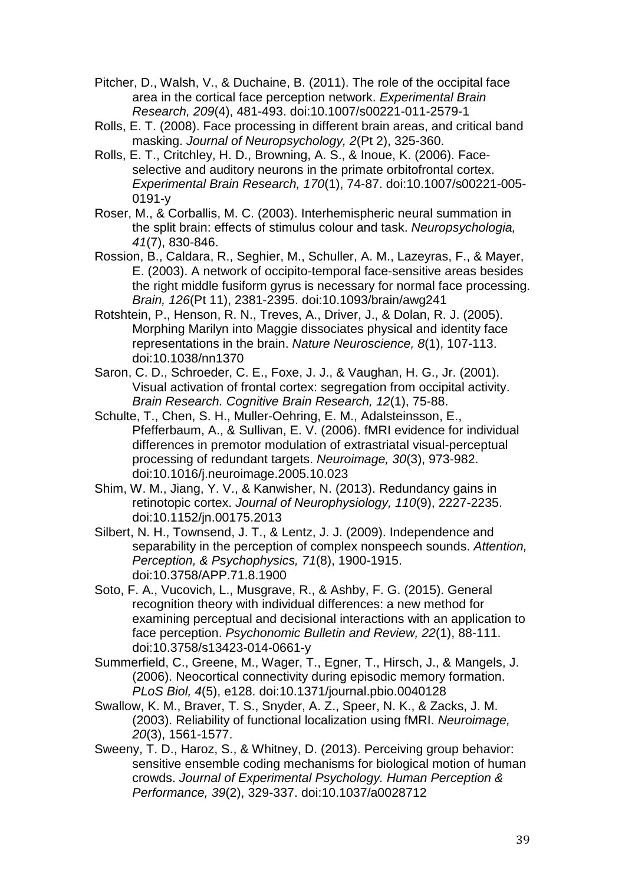- Pitcher, D., Walsh, V., & Duchaine, B. (2011). The role of the occipital face area in the cortical face perception network. *Experimental Brain Research, 209*(4), 481-493. doi:10.1007/s00221-011-2579-1
- Rolls, E. T. (2008). Face processing in different brain areas, and critical band masking. *Journal of Neuropsychology, 2*(Pt 2), 325-360.
- Rolls, E. T., Critchley, H. D., Browning, A. S., & Inoue, K. (2006). Faceselective and auditory neurons in the primate orbitofrontal cortex. *Experimental Brain Research, 170*(1), 74-87. doi:10.1007/s00221-005- 0191-y
- Roser, M., & Corballis, M. C. (2003). Interhemispheric neural summation in the split brain: effects of stimulus colour and task. *Neuropsychologia, 41*(7), 830-846.
- Rossion, B., Caldara, R., Seghier, M., Schuller, A. M., Lazeyras, F., & Mayer, E. (2003). A network of occipito-temporal face-sensitive areas besides the right middle fusiform gyrus is necessary for normal face processing. *Brain, 126*(Pt 11), 2381-2395. doi:10.1093/brain/awg241
- Rotshtein, P., Henson, R. N., Treves, A., Driver, J., & Dolan, R. J. (2005). Morphing Marilyn into Maggie dissociates physical and identity face representations in the brain. *Nature Neuroscience, 8*(1), 107-113. doi:10.1038/nn1370
- Saron, C. D., Schroeder, C. E., Foxe, J. J., & Vaughan, H. G., Jr. (2001). Visual activation of frontal cortex: segregation from occipital activity. *Brain Research. Cognitive Brain Research, 12*(1), 75-88.
- Schulte, T., Chen, S. H., Muller-Oehring, E. M., Adalsteinsson, E., Pfefferbaum, A., & Sullivan, E. V. (2006). fMRI evidence for individual differences in premotor modulation of extrastriatal visual-perceptual processing of redundant targets. *Neuroimage, 30*(3), 973-982. doi:10.1016/j.neuroimage.2005.10.023
- Shim, W. M., Jiang, Y. V., & Kanwisher, N. (2013). Redundancy gains in retinotopic cortex. *Journal of Neurophysiology, 110*(9), 2227-2235. doi:10.1152/jn.00175.2013
- Silbert, N. H., Townsend, J. T., & Lentz, J. J. (2009). Independence and separability in the perception of complex nonspeech sounds. *Attention, Perception, & Psychophysics, 71*(8), 1900-1915. doi:10.3758/APP.71.8.1900
- Soto, F. A., Vucovich, L., Musgrave, R., & Ashby, F. G. (2015). General recognition theory with individual differences: a new method for examining perceptual and decisional interactions with an application to face perception. *Psychonomic Bulletin and Review, 22*(1), 88-111. doi:10.3758/s13423-014-0661-y
- Summerfield, C., Greene, M., Wager, T., Egner, T., Hirsch, J., & Mangels, J. (2006). Neocortical connectivity during episodic memory formation. *PLoS Biol, 4*(5), e128. doi:10.1371/journal.pbio.0040128
- Swallow, K. M., Braver, T. S., Snyder, A. Z., Speer, N. K., & Zacks, J. M. (2003). Reliability of functional localization using fMRI. *Neuroimage, 20*(3), 1561-1577.
- Sweeny, T. D., Haroz, S., & Whitney, D. (2013). Perceiving group behavior: sensitive ensemble coding mechanisms for biological motion of human crowds. *Journal of Experimental Psychology. Human Perception & Performance, 39*(2), 329-337. doi:10.1037/a0028712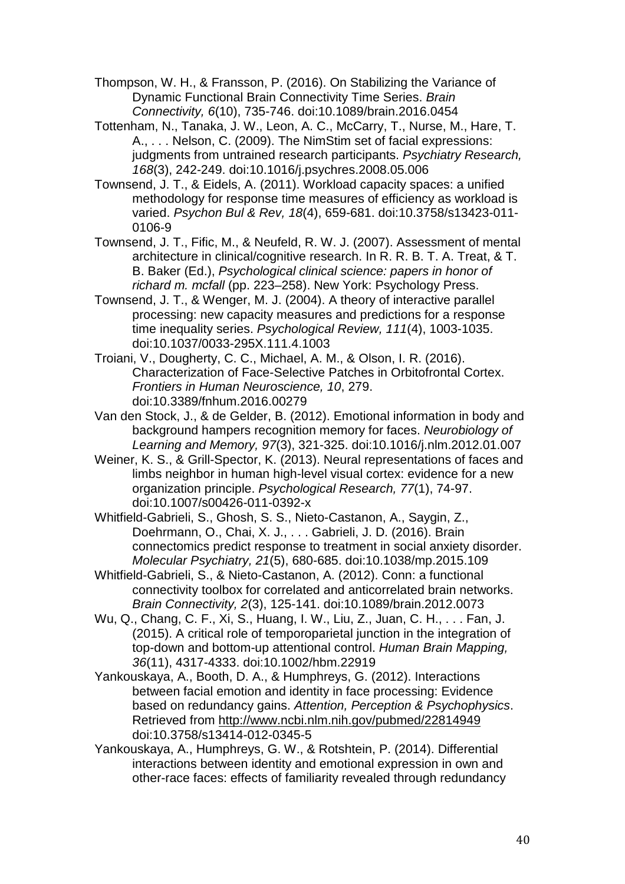Thompson, W. H., & Fransson, P. (2016). On Stabilizing the Variance of Dynamic Functional Brain Connectivity Time Series. *Brain Connectivity, 6*(10), 735-746. doi:10.1089/brain.2016.0454

Tottenham, N., Tanaka, J. W., Leon, A. C., McCarry, T., Nurse, M., Hare, T. A., . . . Nelson, C. (2009). The NimStim set of facial expressions: judgments from untrained research participants. *Psychiatry Research, 168*(3), 242-249. doi:10.1016/j.psychres.2008.05.006

Townsend, J. T., & Eidels, A. (2011). Workload capacity spaces: a unified methodology for response time measures of efficiency as workload is varied. *Psychon Bul & Rev, 18*(4), 659-681. doi:10.3758/s13423-011- 0106-9

Townsend, J. T., Fific, M., & Neufeld, R. W. J. (2007). Assessment of mental architecture in clinical/cognitive research. In R. R. B. T. A. Treat, & T. B. Baker (Ed.), *Psychological clinical science: papers in honor of richard m. mcfall* (pp. 223–258). New York: Psychology Press.

Townsend, J. T., & Wenger, M. J. (2004). A theory of interactive parallel processing: new capacity measures and predictions for a response time inequality series. *Psychological Review, 111*(4), 1003-1035. doi:10.1037/0033-295X.111.4.1003

Troiani, V., Dougherty, C. C., Michael, A. M., & Olson, I. R. (2016). Characterization of Face-Selective Patches in Orbitofrontal Cortex. *Frontiers in Human Neuroscience, 10*, 279. doi:10.3389/fnhum.2016.00279

Van den Stock, J., & de Gelder, B. (2012). Emotional information in body and background hampers recognition memory for faces. *Neurobiology of Learning and Memory, 97*(3), 321-325. doi:10.1016/j.nlm.2012.01.007

Weiner, K. S., & Grill-Spector, K. (2013). Neural representations of faces and limbs neighbor in human high-level visual cortex: evidence for a new organization principle. *Psychological Research, 77*(1), 74-97. doi:10.1007/s00426-011-0392-x

Whitfield-Gabrieli, S., Ghosh, S. S., Nieto-Castanon, A., Saygin, Z., Doehrmann, O., Chai, X. J., . . . Gabrieli, J. D. (2016). Brain connectomics predict response to treatment in social anxiety disorder. *Molecular Psychiatry, 21*(5), 680-685. doi:10.1038/mp.2015.109

Whitfield-Gabrieli, S., & Nieto-Castanon, A. (2012). Conn: a functional connectivity toolbox for correlated and anticorrelated brain networks. *Brain Connectivity, 2*(3), 125-141. doi:10.1089/brain.2012.0073

Wu, Q., Chang, C. F., Xi, S., Huang, I. W., Liu, Z., Juan, C. H., . . . Fan, J. (2015). A critical role of temporoparietal junction in the integration of top-down and bottom-up attentional control. *Human Brain Mapping, 36*(11), 4317-4333. doi:10.1002/hbm.22919

Yankouskaya, A., Booth, D. A., & Humphreys, G. (2012). Interactions between facial emotion and identity in face processing: Evidence based on redundancy gains. *Attention, Perception & Psychophysics*. Retrieved from<http://www.ncbi.nlm.nih.gov/pubmed/22814949> doi:10.3758/s13414-012-0345-5

Yankouskaya, A., Humphreys, G. W., & Rotshtein, P. (2014). Differential interactions between identity and emotional expression in own and other-race faces: effects of familiarity revealed through redundancy